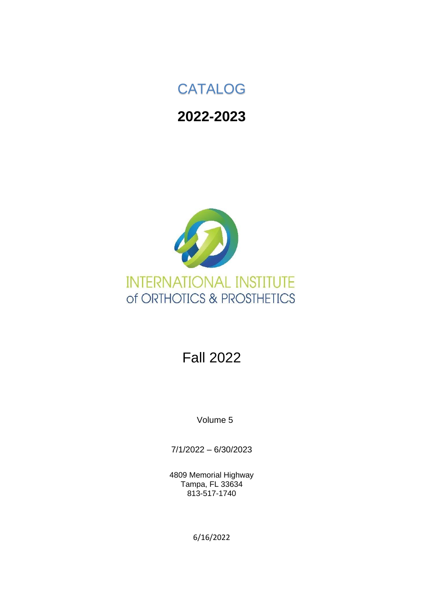# CATALOG

# **2022-2023**



# Fall 2022

Volume 5

7/1/2022 – 6/30/2023

4809 Memorial Highway Tampa, FL 33634 813-517-1740

6/16/2022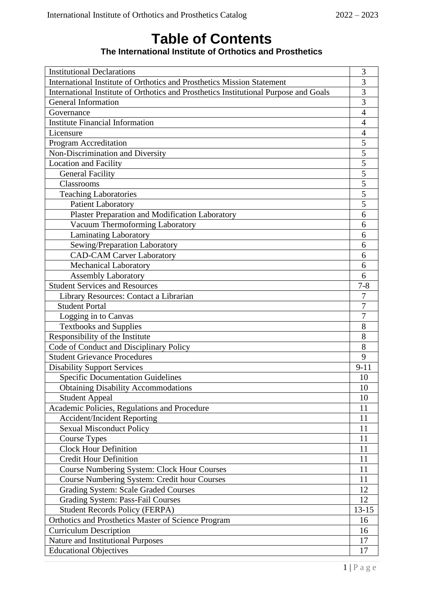# **Table of Contents The International Institute of Orthotics and Prosthetics**

| International Institute of Orthotics and Prosthetics Mission Statement<br>3<br>3<br>International Institute of Orthotics and Prosthetics Institutional Purpose and Goals<br>$\overline{3}$<br><b>General Information</b><br>$\overline{4}$<br>Governance<br><b>Institute Financial Information</b><br>$\overline{4}$<br>Licensure<br>$\overline{4}$<br>5<br>Program Accreditation<br>Non-Discrimination and Diversity<br>5<br>5<br><b>Location and Facility</b><br>5<br><b>General Facility</b><br>5<br>Classrooms<br>$\overline{5}$<br><b>Teaching Laboratories</b><br>5<br><b>Patient Laboratory</b><br><b>Plaster Preparation and Modification Laboratory</b><br>6<br>Vacuum Thermoforming Laboratory<br>6<br>Laminating Laboratory<br>6<br>Sewing/Preparation Laboratory<br>6<br><b>CAD-CAM Carver Laboratory</b><br>6<br><b>Mechanical Laboratory</b><br>6<br>Assembly Laboratory<br>6<br><b>Student Services and Resources</b><br>$7 - 8$<br>Library Resources: Contact a Librarian<br>7<br>7<br><b>Student Portal</b><br>Logging in to Canvas<br>7<br>8<br><b>Textbooks and Supplies</b><br>8<br>Responsibility of the Institute<br>8<br>Code of Conduct and Disciplinary Policy<br><b>Student Grievance Procedures</b><br>9<br><b>Disability Support Services</b><br>$9 - 11$<br><b>Specific Documentation Guidelines</b><br>10<br><b>Obtaining Disability Accommodations</b><br>10<br><b>Student Appeal</b><br>10<br>Academic Policies, Regulations and Procedure<br>11<br><b>Accident/Incident Reporting</b><br>11<br>11<br><b>Sexual Misconduct Policy</b><br><b>Course Types</b><br>11<br><b>Clock Hour Definition</b><br>11<br><b>Credit Hour Definition</b><br>11<br><b>Course Numbering System: Clock Hour Courses</b><br>11<br>Course Numbering System: Credit hour Courses<br>11<br><b>Grading System: Scale Graded Courses</b><br>12<br><b>Grading System: Pass-Fail Courses</b><br>12<br>$13 - 15$<br><b>Student Records Policy (FERPA)</b><br>Orthotics and Prosthetics Master of Science Program<br>16<br><b>Curriculum Description</b><br>16<br>Nature and Institutional Purposes<br>17<br><b>Educational Objectives</b><br>17 | <b>Institutional Declarations</b> | 3 |
|------------------------------------------------------------------------------------------------------------------------------------------------------------------------------------------------------------------------------------------------------------------------------------------------------------------------------------------------------------------------------------------------------------------------------------------------------------------------------------------------------------------------------------------------------------------------------------------------------------------------------------------------------------------------------------------------------------------------------------------------------------------------------------------------------------------------------------------------------------------------------------------------------------------------------------------------------------------------------------------------------------------------------------------------------------------------------------------------------------------------------------------------------------------------------------------------------------------------------------------------------------------------------------------------------------------------------------------------------------------------------------------------------------------------------------------------------------------------------------------------------------------------------------------------------------------------------------------------------------------------------------------------------------------------------------------------------------------------------------------------------------------------------------------------------------------------------------------------------------------------------------------------------------------------------------------------------------------------------------------------------------------------------------------------------------------------------------------------------------------------------------------------------|-----------------------------------|---|
|                                                                                                                                                                                                                                                                                                                                                                                                                                                                                                                                                                                                                                                                                                                                                                                                                                                                                                                                                                                                                                                                                                                                                                                                                                                                                                                                                                                                                                                                                                                                                                                                                                                                                                                                                                                                                                                                                                                                                                                                                                                                                                                                                      |                                   |   |
|                                                                                                                                                                                                                                                                                                                                                                                                                                                                                                                                                                                                                                                                                                                                                                                                                                                                                                                                                                                                                                                                                                                                                                                                                                                                                                                                                                                                                                                                                                                                                                                                                                                                                                                                                                                                                                                                                                                                                                                                                                                                                                                                                      |                                   |   |
|                                                                                                                                                                                                                                                                                                                                                                                                                                                                                                                                                                                                                                                                                                                                                                                                                                                                                                                                                                                                                                                                                                                                                                                                                                                                                                                                                                                                                                                                                                                                                                                                                                                                                                                                                                                                                                                                                                                                                                                                                                                                                                                                                      |                                   |   |
|                                                                                                                                                                                                                                                                                                                                                                                                                                                                                                                                                                                                                                                                                                                                                                                                                                                                                                                                                                                                                                                                                                                                                                                                                                                                                                                                                                                                                                                                                                                                                                                                                                                                                                                                                                                                                                                                                                                                                                                                                                                                                                                                                      |                                   |   |
|                                                                                                                                                                                                                                                                                                                                                                                                                                                                                                                                                                                                                                                                                                                                                                                                                                                                                                                                                                                                                                                                                                                                                                                                                                                                                                                                                                                                                                                                                                                                                                                                                                                                                                                                                                                                                                                                                                                                                                                                                                                                                                                                                      |                                   |   |
|                                                                                                                                                                                                                                                                                                                                                                                                                                                                                                                                                                                                                                                                                                                                                                                                                                                                                                                                                                                                                                                                                                                                                                                                                                                                                                                                                                                                                                                                                                                                                                                                                                                                                                                                                                                                                                                                                                                                                                                                                                                                                                                                                      |                                   |   |
|                                                                                                                                                                                                                                                                                                                                                                                                                                                                                                                                                                                                                                                                                                                                                                                                                                                                                                                                                                                                                                                                                                                                                                                                                                                                                                                                                                                                                                                                                                                                                                                                                                                                                                                                                                                                                                                                                                                                                                                                                                                                                                                                                      |                                   |   |
|                                                                                                                                                                                                                                                                                                                                                                                                                                                                                                                                                                                                                                                                                                                                                                                                                                                                                                                                                                                                                                                                                                                                                                                                                                                                                                                                                                                                                                                                                                                                                                                                                                                                                                                                                                                                                                                                                                                                                                                                                                                                                                                                                      |                                   |   |
|                                                                                                                                                                                                                                                                                                                                                                                                                                                                                                                                                                                                                                                                                                                                                                                                                                                                                                                                                                                                                                                                                                                                                                                                                                                                                                                                                                                                                                                                                                                                                                                                                                                                                                                                                                                                                                                                                                                                                                                                                                                                                                                                                      |                                   |   |
|                                                                                                                                                                                                                                                                                                                                                                                                                                                                                                                                                                                                                                                                                                                                                                                                                                                                                                                                                                                                                                                                                                                                                                                                                                                                                                                                                                                                                                                                                                                                                                                                                                                                                                                                                                                                                                                                                                                                                                                                                                                                                                                                                      |                                   |   |
|                                                                                                                                                                                                                                                                                                                                                                                                                                                                                                                                                                                                                                                                                                                                                                                                                                                                                                                                                                                                                                                                                                                                                                                                                                                                                                                                                                                                                                                                                                                                                                                                                                                                                                                                                                                                                                                                                                                                                                                                                                                                                                                                                      |                                   |   |
|                                                                                                                                                                                                                                                                                                                                                                                                                                                                                                                                                                                                                                                                                                                                                                                                                                                                                                                                                                                                                                                                                                                                                                                                                                                                                                                                                                                                                                                                                                                                                                                                                                                                                                                                                                                                                                                                                                                                                                                                                                                                                                                                                      |                                   |   |
|                                                                                                                                                                                                                                                                                                                                                                                                                                                                                                                                                                                                                                                                                                                                                                                                                                                                                                                                                                                                                                                                                                                                                                                                                                                                                                                                                                                                                                                                                                                                                                                                                                                                                                                                                                                                                                                                                                                                                                                                                                                                                                                                                      |                                   |   |
|                                                                                                                                                                                                                                                                                                                                                                                                                                                                                                                                                                                                                                                                                                                                                                                                                                                                                                                                                                                                                                                                                                                                                                                                                                                                                                                                                                                                                                                                                                                                                                                                                                                                                                                                                                                                                                                                                                                                                                                                                                                                                                                                                      |                                   |   |
|                                                                                                                                                                                                                                                                                                                                                                                                                                                                                                                                                                                                                                                                                                                                                                                                                                                                                                                                                                                                                                                                                                                                                                                                                                                                                                                                                                                                                                                                                                                                                                                                                                                                                                                                                                                                                                                                                                                                                                                                                                                                                                                                                      |                                   |   |
|                                                                                                                                                                                                                                                                                                                                                                                                                                                                                                                                                                                                                                                                                                                                                                                                                                                                                                                                                                                                                                                                                                                                                                                                                                                                                                                                                                                                                                                                                                                                                                                                                                                                                                                                                                                                                                                                                                                                                                                                                                                                                                                                                      |                                   |   |
|                                                                                                                                                                                                                                                                                                                                                                                                                                                                                                                                                                                                                                                                                                                                                                                                                                                                                                                                                                                                                                                                                                                                                                                                                                                                                                                                                                                                                                                                                                                                                                                                                                                                                                                                                                                                                                                                                                                                                                                                                                                                                                                                                      |                                   |   |
|                                                                                                                                                                                                                                                                                                                                                                                                                                                                                                                                                                                                                                                                                                                                                                                                                                                                                                                                                                                                                                                                                                                                                                                                                                                                                                                                                                                                                                                                                                                                                                                                                                                                                                                                                                                                                                                                                                                                                                                                                                                                                                                                                      |                                   |   |
|                                                                                                                                                                                                                                                                                                                                                                                                                                                                                                                                                                                                                                                                                                                                                                                                                                                                                                                                                                                                                                                                                                                                                                                                                                                                                                                                                                                                                                                                                                                                                                                                                                                                                                                                                                                                                                                                                                                                                                                                                                                                                                                                                      |                                   |   |
|                                                                                                                                                                                                                                                                                                                                                                                                                                                                                                                                                                                                                                                                                                                                                                                                                                                                                                                                                                                                                                                                                                                                                                                                                                                                                                                                                                                                                                                                                                                                                                                                                                                                                                                                                                                                                                                                                                                                                                                                                                                                                                                                                      |                                   |   |
|                                                                                                                                                                                                                                                                                                                                                                                                                                                                                                                                                                                                                                                                                                                                                                                                                                                                                                                                                                                                                                                                                                                                                                                                                                                                                                                                                                                                                                                                                                                                                                                                                                                                                                                                                                                                                                                                                                                                                                                                                                                                                                                                                      |                                   |   |
|                                                                                                                                                                                                                                                                                                                                                                                                                                                                                                                                                                                                                                                                                                                                                                                                                                                                                                                                                                                                                                                                                                                                                                                                                                                                                                                                                                                                                                                                                                                                                                                                                                                                                                                                                                                                                                                                                                                                                                                                                                                                                                                                                      |                                   |   |
|                                                                                                                                                                                                                                                                                                                                                                                                                                                                                                                                                                                                                                                                                                                                                                                                                                                                                                                                                                                                                                                                                                                                                                                                                                                                                                                                                                                                                                                                                                                                                                                                                                                                                                                                                                                                                                                                                                                                                                                                                                                                                                                                                      |                                   |   |
|                                                                                                                                                                                                                                                                                                                                                                                                                                                                                                                                                                                                                                                                                                                                                                                                                                                                                                                                                                                                                                                                                                                                                                                                                                                                                                                                                                                                                                                                                                                                                                                                                                                                                                                                                                                                                                                                                                                                                                                                                                                                                                                                                      |                                   |   |
|                                                                                                                                                                                                                                                                                                                                                                                                                                                                                                                                                                                                                                                                                                                                                                                                                                                                                                                                                                                                                                                                                                                                                                                                                                                                                                                                                                                                                                                                                                                                                                                                                                                                                                                                                                                                                                                                                                                                                                                                                                                                                                                                                      |                                   |   |
|                                                                                                                                                                                                                                                                                                                                                                                                                                                                                                                                                                                                                                                                                                                                                                                                                                                                                                                                                                                                                                                                                                                                                                                                                                                                                                                                                                                                                                                                                                                                                                                                                                                                                                                                                                                                                                                                                                                                                                                                                                                                                                                                                      |                                   |   |
|                                                                                                                                                                                                                                                                                                                                                                                                                                                                                                                                                                                                                                                                                                                                                                                                                                                                                                                                                                                                                                                                                                                                                                                                                                                                                                                                                                                                                                                                                                                                                                                                                                                                                                                                                                                                                                                                                                                                                                                                                                                                                                                                                      |                                   |   |
|                                                                                                                                                                                                                                                                                                                                                                                                                                                                                                                                                                                                                                                                                                                                                                                                                                                                                                                                                                                                                                                                                                                                                                                                                                                                                                                                                                                                                                                                                                                                                                                                                                                                                                                                                                                                                                                                                                                                                                                                                                                                                                                                                      |                                   |   |
|                                                                                                                                                                                                                                                                                                                                                                                                                                                                                                                                                                                                                                                                                                                                                                                                                                                                                                                                                                                                                                                                                                                                                                                                                                                                                                                                                                                                                                                                                                                                                                                                                                                                                                                                                                                                                                                                                                                                                                                                                                                                                                                                                      |                                   |   |
|                                                                                                                                                                                                                                                                                                                                                                                                                                                                                                                                                                                                                                                                                                                                                                                                                                                                                                                                                                                                                                                                                                                                                                                                                                                                                                                                                                                                                                                                                                                                                                                                                                                                                                                                                                                                                                                                                                                                                                                                                                                                                                                                                      |                                   |   |
|                                                                                                                                                                                                                                                                                                                                                                                                                                                                                                                                                                                                                                                                                                                                                                                                                                                                                                                                                                                                                                                                                                                                                                                                                                                                                                                                                                                                                                                                                                                                                                                                                                                                                                                                                                                                                                                                                                                                                                                                                                                                                                                                                      |                                   |   |
|                                                                                                                                                                                                                                                                                                                                                                                                                                                                                                                                                                                                                                                                                                                                                                                                                                                                                                                                                                                                                                                                                                                                                                                                                                                                                                                                                                                                                                                                                                                                                                                                                                                                                                                                                                                                                                                                                                                                                                                                                                                                                                                                                      |                                   |   |
|                                                                                                                                                                                                                                                                                                                                                                                                                                                                                                                                                                                                                                                                                                                                                                                                                                                                                                                                                                                                                                                                                                                                                                                                                                                                                                                                                                                                                                                                                                                                                                                                                                                                                                                                                                                                                                                                                                                                                                                                                                                                                                                                                      |                                   |   |
|                                                                                                                                                                                                                                                                                                                                                                                                                                                                                                                                                                                                                                                                                                                                                                                                                                                                                                                                                                                                                                                                                                                                                                                                                                                                                                                                                                                                                                                                                                                                                                                                                                                                                                                                                                                                                                                                                                                                                                                                                                                                                                                                                      |                                   |   |
|                                                                                                                                                                                                                                                                                                                                                                                                                                                                                                                                                                                                                                                                                                                                                                                                                                                                                                                                                                                                                                                                                                                                                                                                                                                                                                                                                                                                                                                                                                                                                                                                                                                                                                                                                                                                                                                                                                                                                                                                                                                                                                                                                      |                                   |   |
|                                                                                                                                                                                                                                                                                                                                                                                                                                                                                                                                                                                                                                                                                                                                                                                                                                                                                                                                                                                                                                                                                                                                                                                                                                                                                                                                                                                                                                                                                                                                                                                                                                                                                                                                                                                                                                                                                                                                                                                                                                                                                                                                                      |                                   |   |
|                                                                                                                                                                                                                                                                                                                                                                                                                                                                                                                                                                                                                                                                                                                                                                                                                                                                                                                                                                                                                                                                                                                                                                                                                                                                                                                                                                                                                                                                                                                                                                                                                                                                                                                                                                                                                                                                                                                                                                                                                                                                                                                                                      |                                   |   |
|                                                                                                                                                                                                                                                                                                                                                                                                                                                                                                                                                                                                                                                                                                                                                                                                                                                                                                                                                                                                                                                                                                                                                                                                                                                                                                                                                                                                                                                                                                                                                                                                                                                                                                                                                                                                                                                                                                                                                                                                                                                                                                                                                      |                                   |   |
|                                                                                                                                                                                                                                                                                                                                                                                                                                                                                                                                                                                                                                                                                                                                                                                                                                                                                                                                                                                                                                                                                                                                                                                                                                                                                                                                                                                                                                                                                                                                                                                                                                                                                                                                                                                                                                                                                                                                                                                                                                                                                                                                                      |                                   |   |
|                                                                                                                                                                                                                                                                                                                                                                                                                                                                                                                                                                                                                                                                                                                                                                                                                                                                                                                                                                                                                                                                                                                                                                                                                                                                                                                                                                                                                                                                                                                                                                                                                                                                                                                                                                                                                                                                                                                                                                                                                                                                                                                                                      |                                   |   |
|                                                                                                                                                                                                                                                                                                                                                                                                                                                                                                                                                                                                                                                                                                                                                                                                                                                                                                                                                                                                                                                                                                                                                                                                                                                                                                                                                                                                                                                                                                                                                                                                                                                                                                                                                                                                                                                                                                                                                                                                                                                                                                                                                      |                                   |   |
|                                                                                                                                                                                                                                                                                                                                                                                                                                                                                                                                                                                                                                                                                                                                                                                                                                                                                                                                                                                                                                                                                                                                                                                                                                                                                                                                                                                                                                                                                                                                                                                                                                                                                                                                                                                                                                                                                                                                                                                                                                                                                                                                                      |                                   |   |
|                                                                                                                                                                                                                                                                                                                                                                                                                                                                                                                                                                                                                                                                                                                                                                                                                                                                                                                                                                                                                                                                                                                                                                                                                                                                                                                                                                                                                                                                                                                                                                                                                                                                                                                                                                                                                                                                                                                                                                                                                                                                                                                                                      |                                   |   |
|                                                                                                                                                                                                                                                                                                                                                                                                                                                                                                                                                                                                                                                                                                                                                                                                                                                                                                                                                                                                                                                                                                                                                                                                                                                                                                                                                                                                                                                                                                                                                                                                                                                                                                                                                                                                                                                                                                                                                                                                                                                                                                                                                      |                                   |   |
|                                                                                                                                                                                                                                                                                                                                                                                                                                                                                                                                                                                                                                                                                                                                                                                                                                                                                                                                                                                                                                                                                                                                                                                                                                                                                                                                                                                                                                                                                                                                                                                                                                                                                                                                                                                                                                                                                                                                                                                                                                                                                                                                                      |                                   |   |
|                                                                                                                                                                                                                                                                                                                                                                                                                                                                                                                                                                                                                                                                                                                                                                                                                                                                                                                                                                                                                                                                                                                                                                                                                                                                                                                                                                                                                                                                                                                                                                                                                                                                                                                                                                                                                                                                                                                                                                                                                                                                                                                                                      |                                   |   |
|                                                                                                                                                                                                                                                                                                                                                                                                                                                                                                                                                                                                                                                                                                                                                                                                                                                                                                                                                                                                                                                                                                                                                                                                                                                                                                                                                                                                                                                                                                                                                                                                                                                                                                                                                                                                                                                                                                                                                                                                                                                                                                                                                      |                                   |   |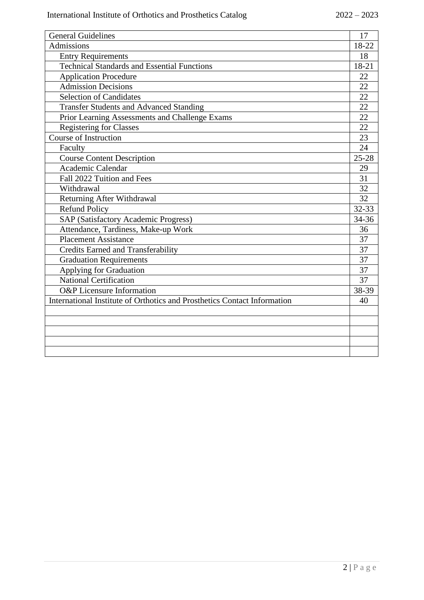| <b>General Guidelines</b>                                                | 17                 |
|--------------------------------------------------------------------------|--------------------|
| Admissions                                                               | 18-22              |
| <b>Entry Requirements</b>                                                | 18                 |
| <b>Technical Standards and Essential Functions</b>                       | 18-21              |
| <b>Application Procedure</b>                                             | 22                 |
| <b>Admission Decisions</b>                                               | 22                 |
| <b>Selection of Candidates</b>                                           | 22                 |
| <b>Transfer Students and Advanced Standing</b>                           | 22                 |
| Prior Learning Assessments and Challenge Exams                           | 22                 |
| <b>Registering for Classes</b>                                           | 22                 |
| <b>Course of Instruction</b>                                             | 23                 |
| Faculty                                                                  | 24                 |
| <b>Course Content Description</b>                                        | $\overline{25-28}$ |
| Academic Calendar                                                        | 29                 |
| Fall 2022 Tuition and Fees                                               | 31                 |
| Withdrawal                                                               | 32                 |
| Returning After Withdrawal                                               | 32                 |
| <b>Refund Policy</b>                                                     | 32-33              |
| <b>SAP (Satisfactory Academic Progress)</b>                              | 34-36              |
| Attendance, Tardiness, Make-up Work                                      | 36                 |
| <b>Placement Assistance</b>                                              | 37                 |
| <b>Credits Earned and Transferability</b>                                | 37                 |
| <b>Graduation Requirements</b>                                           | 37                 |
| Applying for Graduation                                                  | 37                 |
| <b>National Certification</b>                                            | 37                 |
| <b>O&amp;P</b> Licensure Information                                     | 38-39              |
| International Institute of Orthotics and Prosthetics Contact Information | 40                 |
|                                                                          |                    |
|                                                                          |                    |
|                                                                          |                    |
|                                                                          |                    |
|                                                                          |                    |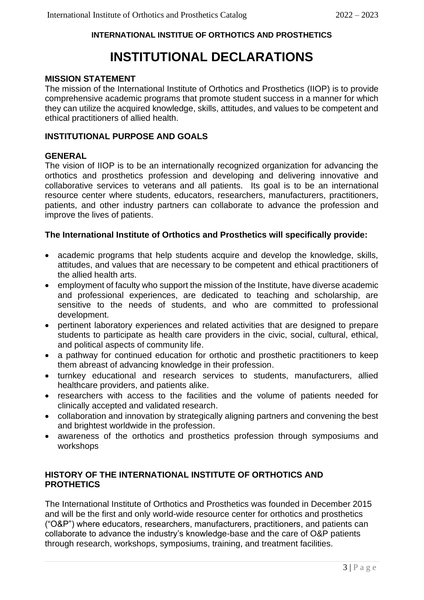# **INTERNATIONAL INSTITUE OF ORTHOTICS AND PROSTHETICS**

# **INSTITUTIONAL DECLARATIONS**

# **MISSION STATEMENT**

The mission of the International Institute of Orthotics and Prosthetics (IIOP) is to provide comprehensive academic programs that promote student success in a manner for which they can utilize the acquired knowledge, skills, attitudes, and values to be competent and ethical practitioners of allied health.

# **INSTITUTIONAL PURPOSE AND GOALS**

# **GENERAL**

The vision of IIOP is to be an internationally recognized organization for advancing the orthotics and prosthetics profession and developing and delivering innovative and collaborative services to veterans and all patients. Its goal is to be an international resource center where students, educators, researchers, manufacturers, practitioners, patients, and other industry partners can collaborate to advance the profession and improve the lives of patients.

# **The International Institute of Orthotics and Prosthetics will specifically provide:**

- academic programs that help students acquire and develop the knowledge, skills, attitudes, and values that are necessary to be competent and ethical practitioners of the allied health arts.
- employment of faculty who support the mission of the Institute, have diverse academic and professional experiences, are dedicated to teaching and scholarship, are sensitive to the needs of students, and who are committed to professional development.
- pertinent laboratory experiences and related activities that are designed to prepare students to participate as health care providers in the civic, social, cultural, ethical, and political aspects of community life.
- a pathway for continued education for orthotic and prosthetic practitioners to keep them abreast of advancing knowledge in their profession.
- turnkey educational and research services to students, manufacturers, allied healthcare providers, and patients alike.
- researchers with access to the facilities and the volume of patients needed for clinically accepted and validated research.
- collaboration and innovation by strategically aligning partners and convening the best and brightest worldwide in the profession.
- awareness of the orthotics and prosthetics profession through symposiums and workshops

### **HISTORY OF THE INTERNATIONAL INSTITUTE OF ORTHOTICS AND PROTHETICS**

The International Institute of Orthotics and Prosthetics was founded in December 2015 and will be the first and only world-wide resource center for orthotics and prosthetics ("O&P") where educators, researchers, manufacturers, practitioners, and patients can collaborate to advance the industry's knowledge-base and the care of O&P patients through research, workshops, symposiums, training, and treatment facilities.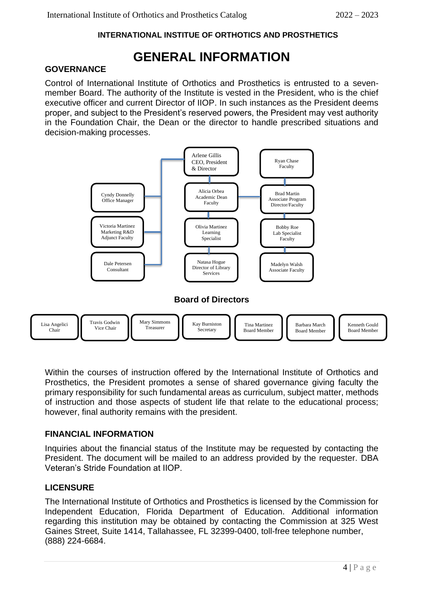# **INTERNATIONAL INSTITUE OF ORTHOTICS AND PROSTHETICS**

# **GENERAL INFORMATION**

# **GOVERNANCE**

Control of International Institute of Orthotics and Prosthetics is entrusted to a sevenmember Board. The authority of the Institute is vested in the President, who is the chief executive officer and current Director of IIOP. In such instances as the President deems proper, and subject to the President's reserved powers, the President may vest authority in the Foundation Chair, the Dean or the director to handle prescribed situations and decision-making processes.



Within the courses of instruction offered by the International Institute of Orthotics and Prosthetics, the President promotes a sense of shared governance giving faculty the primary responsibility for such fundamental areas as curriculum, subject matter, methods of instruction and those aspects of student life that relate to the educational process; however, final authority remains with the president.

# **FINANCIAL INFORMATION**

Inquiries about the financial status of the Institute may be requested by contacting the President. The document will be mailed to an address provided by the requester. DBA Veteran's Stride Foundation at IIOP.

# **LICENSURE**

The International Institute of Orthotics and Prosthetics is licensed by the Commission for Independent Education, Florida Department of Education. Additional information regarding this institution may be obtained by contacting the Commission at 325 West Gaines Street, Suite 1414, Tallahassee, FL 32399-0400, toll-free telephone number, (888) 224-6684.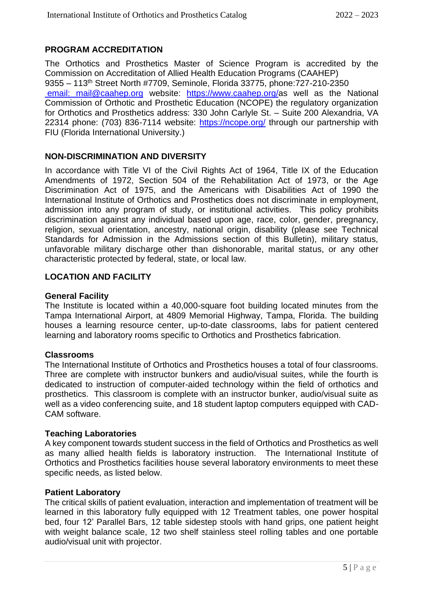# **PROGRAM ACCREDITATION**

The Orthotics and Prosthetics Master of Science Program is accredited by the Commission on Accreditation of Allied Health Education Programs (CAAHEP) 9355 – 113th Street North #7709, Seminole, Florida 33775, phone:727-210-2350 [email: mail@caahep.org](mailto: email:%20mail@caahep.org) website: [https://www.caahep.org/a](https://www.caahep.org/)s well as the National Commission of Orthotic and Prosthetic Education (NCOPE) the regulatory organization for Orthotics and Prosthetics address: 330 John Carlyle St. – Suite 200 Alexandria, VA 22314 phone: (703) 836-7114 website:<https://ncope.org/> through our partnership with FIU (Florida International University.)

# **NON-DISCRIMINATION AND DIVERSITY**

In accordance with Title VI of the Civil Rights Act of 1964, Title IX of the Education Amendments of 1972, Section 504 of the Rehabilitation Act of 1973, or the Age Discrimination Act of 1975, and the Americans with Disabilities Act of 1990 the International Institute of Orthotics and Prosthetics does not discriminate in employment, admission into any program of study, or institutional activities. This policy prohibits discrimination against any individual based upon age, race, color, gender, pregnancy, religion, sexual orientation, ancestry, national origin, disability (please see Technical Standards for Admission in the Admissions section of this Bulletin), military status, unfavorable military discharge other than dishonorable, marital status, or any other characteristic protected by federal, state, or local law.

### **LOCATION AND FACILITY**

### **General Facility**

The Institute is located within a 40,000-square foot building located minutes from the Tampa International Airport, at 4809 Memorial Highway, Tampa, Florida. The building houses a learning resource center, up-to-date classrooms, labs for patient centered learning and laboratory rooms specific to Orthotics and Prosthetics fabrication.

#### **Classrooms**

The International Institute of Orthotics and Prosthetics houses a total of four classrooms. Three are complete with instructor bunkers and audio/visual suites, while the fourth is dedicated to instruction of computer-aided technology within the field of orthotics and prosthetics. This classroom is complete with an instructor bunker, audio/visual suite as well as a video conferencing suite, and 18 student laptop computers equipped with CAD-CAM software.

### **Teaching Laboratories**

A key component towards student success in the field of Orthotics and Prosthetics as well as many allied health fields is laboratory instruction. The International Institute of Orthotics and Prosthetics facilities house several laboratory environments to meet these specific needs, as listed below.

### **Patient Laboratory**

The critical skills of patient evaluation, interaction and implementation of treatment will be learned in this laboratory fully equipped with 12 Treatment tables, one power hospital bed, four 12' Parallel Bars, 12 table sidestep stools with hand grips, one patient height with weight balance scale, 12 two shelf stainless steel rolling tables and one portable audio/visual unit with projector.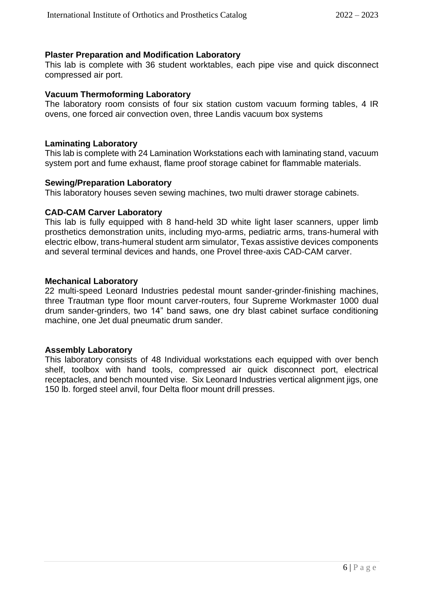#### **Plaster Preparation and Modification Laboratory**

This lab is complete with 36 student worktables, each pipe vise and quick disconnect compressed air port.

#### **Vacuum Thermoforming Laboratory**

The laboratory room consists of four six station custom vacuum forming tables, 4 IR ovens, one forced air convection oven, three Landis vacuum box systems

#### **Laminating Laboratory**

This lab is complete with 24 Lamination Workstations each with laminating stand, vacuum system port and fume exhaust, flame proof storage cabinet for flammable materials.

#### **Sewing/Preparation Laboratory**

This laboratory houses seven sewing machines, two multi drawer storage cabinets.

#### **CAD-CAM Carver Laboratory**

This lab is fully equipped with 8 hand-held 3D white light laser scanners, upper limb prosthetics demonstration units, including myo-arms, pediatric arms, trans-humeral with electric elbow, trans-humeral student arm simulator, Texas assistive devices components and several terminal devices and hands, one Provel three-axis CAD-CAM carver.

#### **Mechanical Laboratory**

22 multi-speed Leonard Industries pedestal mount sander-grinder-finishing machines, three Trautman type floor mount carver-routers, four Supreme Workmaster 1000 dual drum sander-grinders, two 14" band saws, one dry blast cabinet surface conditioning machine, one Jet dual pneumatic drum sander.

#### **Assembly Laboratory**

This laboratory consists of 48 Individual workstations each equipped with over bench shelf, toolbox with hand tools, compressed air quick disconnect port, electrical receptacles, and bench mounted vise. Six Leonard Industries vertical alignment jigs, one 150 lb. forged steel anvil, four Delta floor mount drill presses.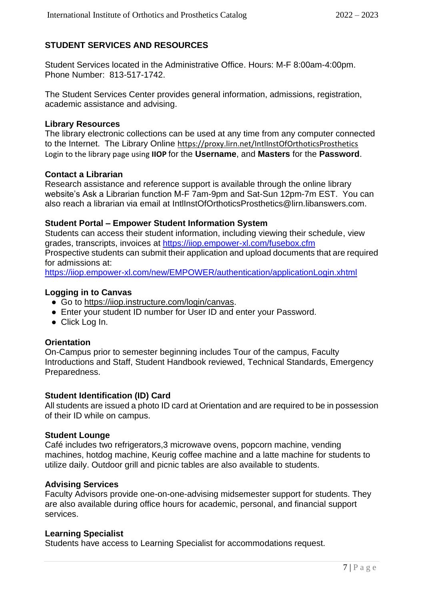# **STUDENT SERVICES AND RESOURCES**

Student Services located in the Administrative Office. Hours: M-F 8:00am-4:00pm. Phone Number: 813-517-1742.

The Student Services Center provides general information, admissions, registration, academic assistance and advising.

### **Library Resources**

The library electronic collections can be used at any time from any computer connected to the Internet. The Library Online <https://proxy.lirn.net/IntlInstOfOrthoticsProsthetics> Login to the library page using **IIOP** for the **Username**, and **Masters** for the **Password**.

### **Contact a Librarian**

Research assistance and reference support is available through the online library website's Ask a Librarian function M-F 7am-9pm and Sat-Sun 12pm-7m EST. You can also reach a librarian via email at IntlInstOfOrthoticsProsthetics@lirn.libanswers.com.

# **Student Portal – Empower Student Information System**

Students can access their student information, including viewing their schedule, view grades, transcripts, invoices at<https://iiop.empower-xl.com/fusebox.cfm> Prospective students can submit their application and upload documents that are required for admissions at:

<https://iiop.empower-xl.com/new/EMPOWER/authentication/applicationLogin.xhtml>

# **Logging in to Canvas**

- Go to https://iiop.instructure.com/login/canvas.
- Enter your student ID number for User ID and enter your Password.
- Click Log In.

# **Orientation**

On-Campus prior to semester beginning includes Tour of the campus, Faculty Introductions and Staff, Student Handbook reviewed, Technical Standards, Emergency Preparedness.

### **Student Identification (ID) Card**

All students are issued a photo ID card at Orientation and are required to be in possession of their ID while on campus.

### **Student Lounge**

Café includes two refrigerators,3 microwave ovens, popcorn machine, vending machines, hotdog machine, Keurig coffee machine and a latte machine for students to utilize daily. Outdoor grill and picnic tables are also available to students.

# **Advising Services**

Faculty Advisors provide one-on-one-advising midsemester support for students. They are also available during office hours for academic, personal, and financial support services.

### **Learning Specialist**

Students have access to Learning Specialist for accommodations request.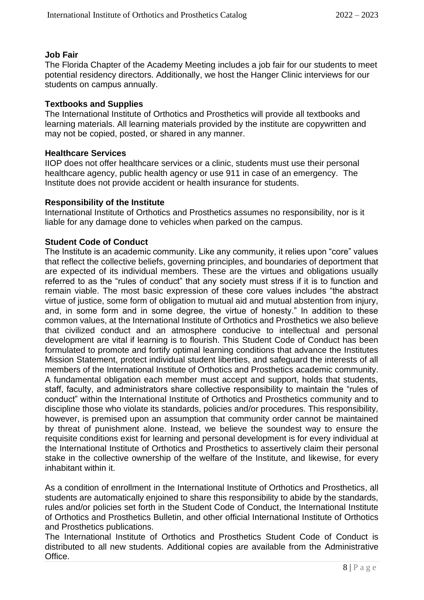#### **Job Fair**

The Florida Chapter of the Academy Meeting includes a job fair for our students to meet potential residency directors. Additionally, we host the Hanger Clinic interviews for our students on campus annually.

#### **Textbooks and Supplies**

The International Institute of Orthotics and Prosthetics will provide all textbooks and learning materials. All learning materials provided by the institute are copywritten and may not be copied, posted, or shared in any manner.

#### **Healthcare Services**

IIOP does not offer healthcare services or a clinic, students must use their personal healthcare agency, public health agency or use 911 in case of an emergency. The Institute does not provide accident or health insurance for students.

#### **Responsibility of the Institute**

International Institute of Orthotics and Prosthetics assumes no responsibility, nor is it liable for any damage done to vehicles when parked on the campus.

#### **Student Code of Conduct**

The Institute is an academic community. Like any community, it relies upon "core" values that reflect the collective beliefs, governing principles, and boundaries of deportment that are expected of its individual members. These are the virtues and obligations usually referred to as the "rules of conduct" that any society must stress if it is to function and remain viable. The most basic expression of these core values includes "the abstract virtue of justice, some form of obligation to mutual aid and mutual abstention from injury, and, in some form and in some degree, the virtue of honesty." In addition to these common values, at the International Institute of Orthotics and Prosthetics we also believe that civilized conduct and an atmosphere conducive to intellectual and personal development are vital if learning is to flourish. This Student Code of Conduct has been formulated to promote and fortify optimal learning conditions that advance the Institutes Mission Statement, protect individual student liberties, and safeguard the interests of all members of the International Institute of Orthotics and Prosthetics academic community. A fundamental obligation each member must accept and support, holds that students, staff, faculty, and administrators share collective responsibility to maintain the "rules of conduct" within the International Institute of Orthotics and Prosthetics community and to discipline those who violate its standards, policies and/or procedures. This responsibility, however, is premised upon an assumption that community order cannot be maintained by threat of punishment alone. Instead, we believe the soundest way to ensure the requisite conditions exist for learning and personal development is for every individual at the International Institute of Orthotics and Prosthetics to assertively claim their personal stake in the collective ownership of the welfare of the Institute, and likewise, for every inhabitant within it.

As a condition of enrollment in the International Institute of Orthotics and Prosthetics, all students are automatically enjoined to share this responsibility to abide by the standards, rules and/or policies set forth in the Student Code of Conduct, the International Institute of Orthotics and Prosthetics Bulletin, and other official International Institute of Orthotics and Prosthetics publications.

The International Institute of Orthotics and Prosthetics Student Code of Conduct is distributed to all new students. Additional copies are available from the Administrative Office.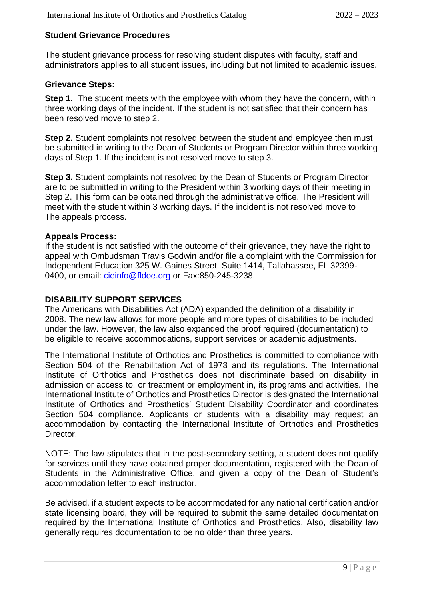### **Student Grievance Procedures**

The student grievance process for resolving student disputes with faculty, staff and administrators applies to all student issues, including but not limited to academic issues.

### **Grievance Steps:**

**Step 1.** The student meets with the employee with whom they have the concern, within three working days of the incident. If the student is not satisfied that their concern has been resolved move to step 2.

**Step 2.** Student complaints not resolved between the student and employee then must be submitted in writing to the Dean of Students or Program Director within three working days of Step 1. If the incident is not resolved move to step 3.

**Step 3.** Student complaints not resolved by the Dean of Students or Program Director are to be submitted in writing to the President within 3 working days of their meeting in Step 2. This form can be obtained through the administrative office. The President will meet with the student within 3 working days. If the incident is not resolved move to The appeals process.

#### **Appeals Process:**

If the student is not satisfied with the outcome of their grievance, they have the right to appeal with Ombudsman Travis Godwin and/or file a complaint with the Commission for Independent Education 325 W. Gaines Street, Suite 1414, Tallahassee, FL 32399- 0400, or email: [cieinfo@fldoe.org](mailto:cieinfo@fldoe.org) or Fax:850-245-3238.

#### **DISABILITY SUPPORT SERVICES**

The Americans with Disabilities Act (ADA) expanded the definition of a disability in 2008. The new law allows for more people and more types of disabilities to be included under the law. However, the law also expanded the proof required (documentation) to be eligible to receive accommodations, support services or academic adjustments.

The International Institute of Orthotics and Prosthetics is committed to compliance with Section 504 of the Rehabilitation Act of 1973 and its regulations. The International Institute of Orthotics and Prosthetics does not discriminate based on disability in admission or access to, or treatment or employment in, its programs and activities. The International Institute of Orthotics and Prosthetics Director is designated the International Institute of Orthotics and Prosthetics' Student Disability Coordinator and coordinates Section 504 compliance. Applicants or students with a disability may request an accommodation by contacting the International Institute of Orthotics and Prosthetics Director.

NOTE: The law stipulates that in the post-secondary setting, a student does not qualify for services until they have obtained proper documentation, registered with the Dean of Students in the Administrative Office, and given a copy of the Dean of Student's accommodation letter to each instructor.

Be advised, if a student expects to be accommodated for any national certification and/or state licensing board, they will be required to submit the same detailed documentation required by the International Institute of Orthotics and Prosthetics. Also, disability law generally requires documentation to be no older than three years.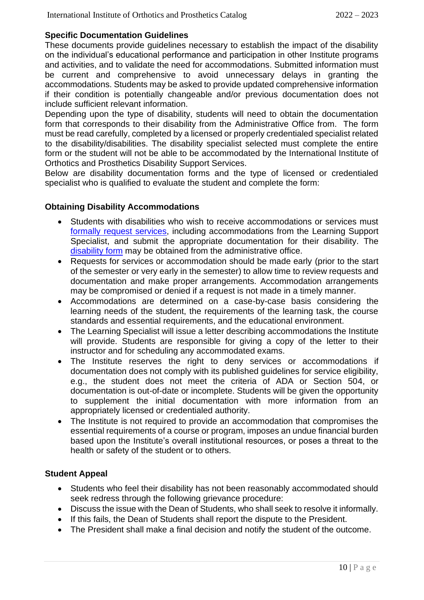### **Specific Documentation Guidelines**

These documents provide guidelines necessary to establish the impact of the disability on the individual's educational performance and participation in other Institute programs and activities, and to validate the need for accommodations. Submitted information must be current and comprehensive to avoid unnecessary delays in granting the accommodations. Students may be asked to provide updated comprehensive information if their condition is potentially changeable and/or previous documentation does not include sufficient relevant information.

Depending upon the type of disability, students will need to obtain the documentation form that corresponds to their disability from the Administrative Office from. The form must be read carefully, completed by a licensed or properly credentialed specialist related to the disability/disabilities. The disability specialist selected must complete the entire form or the student will not be able to be accommodated by the International Institute of Orthotics and Prosthetics Disability Support Services.

Below are disability documentation forms and the type of licensed or credentialed specialist who is qualified to evaluate the student and complete the form:

### **Obtaining Disability Accommodations**

- Students with disabilities who wish to receive accommodations or services must [formally request services,](https://iiofoandp.org/wp-content/uploads/2021/05/IIOP-Accomm-Procedure.docx) including accommodations from the Learning Support Specialist, and submit the appropriate documentation for their disability. The [disability form](https://iiofoandp.org/wp-content/uploads/2021/05/IIOP-Support-Plan.docx) may be obtained from the administrative office.
- Requests for services or accommodation should be made early (prior to the start of the semester or very early in the semester) to allow time to review requests and documentation and make proper arrangements. Accommodation arrangements may be compromised or denied if a request is not made in a timely manner.
- Accommodations are determined on a case-by-case basis considering the learning needs of the student, the requirements of the learning task, the course standards and essential requirements, and the educational environment.
- The Learning Specialist will issue a letter describing accommodations the Institute will provide. Students are responsible for giving a copy of the letter to their instructor and for scheduling any accommodated exams.
- The Institute reserves the right to deny services or accommodations if documentation does not comply with its published guidelines for service eligibility, e.g., the student does not meet the criteria of ADA or Section 504, or documentation is out-of-date or incomplete. Students will be given the opportunity to supplement the initial documentation with more information from an appropriately licensed or credentialed authority.
- The Institute is not required to provide an accommodation that compromises the essential requirements of a course or program, imposes an undue financial burden based upon the Institute's overall institutional resources, or poses a threat to the health or safety of the student or to others.

# **Student Appeal**

- Students who feel their disability has not been reasonably accommodated should seek redress through the following grievance procedure:
- Discuss the issue with the Dean of Students, who shall seek to resolve it informally.
- If this fails, the Dean of Students shall report the dispute to the President.
- The President shall make a final decision and notify the student of the outcome.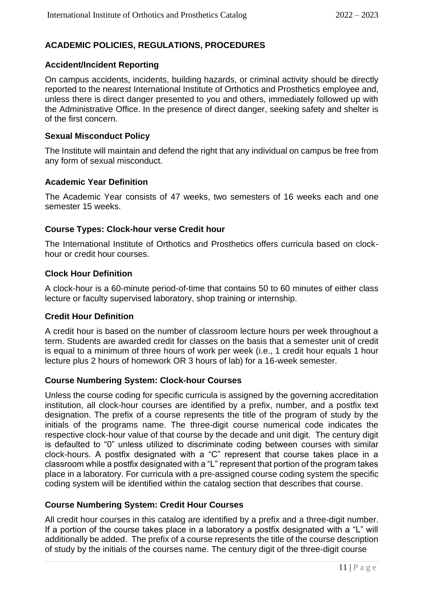# **ACADEMIC POLICIES, REGULATIONS, PROCEDURES**

# **Accident/Incident Reporting**

On campus accidents, incidents, building hazards, or criminal activity should be directly reported to the nearest International Institute of Orthotics and Prosthetics employee and, unless there is direct danger presented to you and others, immediately followed up with the Administrative Office. In the presence of direct danger, seeking safety and shelter is of the first concern.

### **Sexual Misconduct Policy**

The Institute will maintain and defend the right that any individual on campus be free from any form of sexual misconduct.

# **Academic Year Definition**

The Academic Year consists of 47 weeks, two semesters of 16 weeks each and one semester 15 weeks.

# **Course Types: Clock-hour verse Credit hour**

The International Institute of Orthotics and Prosthetics offers curricula based on clockhour or credit hour courses.

### **Clock Hour Definition**

A clock-hour is a 60-minute period-of-time that contains 50 to 60 minutes of either class lecture or faculty supervised laboratory, shop training or internship.

### **Credit Hour Definition**

A credit hour is based on the number of classroom lecture hours per week throughout a term. Students are awarded credit for classes on the basis that a semester unit of credit is equal to a minimum of three hours of work per week (i.e., 1 credit hour equals 1 hour lecture plus 2 hours of homework OR 3 hours of lab) for a 16-week semester.

### **Course Numbering System: Clock-hour Courses**

Unless the course coding for specific curricula is assigned by the governing accreditation institution, all clock-hour courses are identified by a prefix, number, and a postfix text designation. The prefix of a course represents the title of the program of study by the initials of the programs name. The three-digit course numerical code indicates the respective clock-hour value of that course by the decade and unit digit. The century digit is defaulted to "0" unless utilized to discriminate coding between courses with similar clock-hours. A postfix designated with a "C" represent that course takes place in a classroom while a postfix designated with a "L" represent that portion of the program takes place in a laboratory. For curricula with a pre-assigned course coding system the specific coding system will be identified within the catalog section that describes that course.

### **Course Numbering System: Credit Hour Courses**

All credit hour courses in this catalog are identified by a prefix and a three-digit number. If a portion of the course takes place in a laboratory a postfix designated with a "L" will additionally be added. The prefix of a course represents the title of the course description of study by the initials of the courses name. The century digit of the three-digit course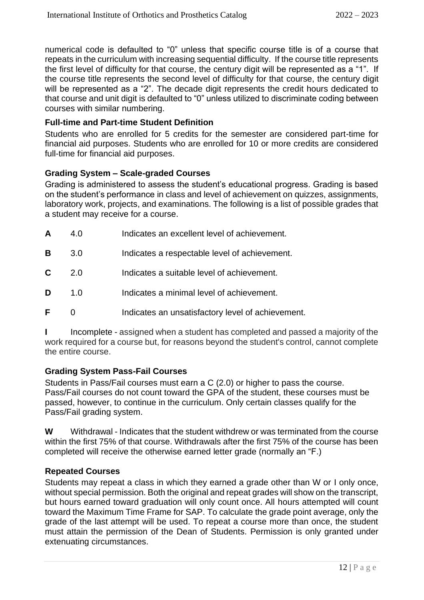numerical code is defaulted to "0" unless that specific course title is of a course that repeats in the curriculum with increasing sequential difficulty. If the course title represents the first level of difficulty for that course, the century digit will be represented as a "1". If the course title represents the second level of difficulty for that course, the century digit will be represented as a "2". The decade digit represents the credit hours dedicated to that course and unit digit is defaulted to "0" unless utilized to discriminate coding between courses with similar numbering.

### **Full-time and Part-time Student Definition**

Students who are enrolled for 5 credits for the semester are considered part-time for financial aid purposes. Students who are enrolled for 10 or more credits are considered full-time for financial aid purposes.

### **Grading System – Scale-graded Courses**

Grading is administered to assess the student's educational progress. Grading is based on the student's performance in class and level of achievement on quizzes, assignments, laboratory work, projects, and examinations. The following is a list of possible grades that a student may receive for a course.

| A | 4.O | Indicates an excellent level of achievement.      |
|---|-----|---------------------------------------------------|
| в | 3.0 | Indicates a respectable level of achievement.     |
| C | 2.0 | Indicates a suitable level of achievement.        |
| D | 1.0 | Indicates a minimal level of achievement.         |
| F |     | Indicates an unsatisfactory level of achievement. |

Incomplete - assigned when a student has completed and passed a majority of the work required for a course but, for reasons beyond the student's control, cannot complete the entire course.

### **Grading System Pass-Fail Courses**

Students in Pass/Fail courses must earn a C (2.0) or higher to pass the course. Pass/Fail courses do not count toward the GPA of the student, these courses must be passed, however, to continue in the curriculum. Only certain classes qualify for the Pass/Fail grading system.

**W** Withdrawal - Indicates that the student withdrew or was terminated from the course within the first 75% of that course. Withdrawals after the first 75% of the course has been completed will receive the otherwise earned letter grade (normally an "F.)

### **Repeated Courses**

Students may repeat a class in which they earned a grade other than W or I only once, without special permission. Both the original and repeat grades will show on the transcript, but hours earned toward graduation will only count once. All hours attempted will count toward the Maximum Time Frame for SAP. To calculate the grade point average, only the grade of the last attempt will be used. To repeat a course more than once, the student must attain the permission of the Dean of Students. Permission is only granted under extenuating circumstances.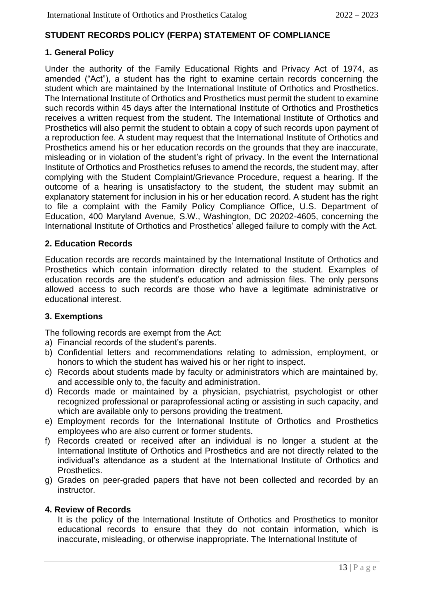# **STUDENT RECORDS POLICY (FERPA) STATEMENT OF COMPLIANCE**

# **1. General Policy**

Under the authority of the Family Educational Rights and Privacy Act of 1974, as amended ("Act"), a student has the right to examine certain records concerning the student which are maintained by the International Institute of Orthotics and Prosthetics. The International Institute of Orthotics and Prosthetics must permit the student to examine such records within 45 days after the International Institute of Orthotics and Prosthetics receives a written request from the student. The International Institute of Orthotics and Prosthetics will also permit the student to obtain a copy of such records upon payment of a reproduction fee. A student may request that the International Institute of Orthotics and Prosthetics amend his or her education records on the grounds that they are inaccurate, misleading or in violation of the student's right of privacy. In the event the International Institute of Orthotics and Prosthetics refuses to amend the records, the student may, after complying with the Student Complaint/Grievance Procedure, request a hearing. If the outcome of a hearing is unsatisfactory to the student, the student may submit an explanatory statement for inclusion in his or her education record. A student has the right to file a complaint with the Family Policy Compliance Office, U.S. Department of Education, 400 Maryland Avenue, S.W., Washington, DC 20202-4605, concerning the International Institute of Orthotics and Prosthetics' alleged failure to comply with the Act.

### **2. Education Records**

Education records are records maintained by the International Institute of Orthotics and Prosthetics which contain information directly related to the student. Examples of education records are the student's education and admission files. The only persons allowed access to such records are those who have a legitimate administrative or educational interest.

### **3. Exemptions**

The following records are exempt from the Act:

- a) Financial records of the student's parents.
- b) Confidential letters and recommendations relating to admission, employment, or honors to which the student has waived his or her right to inspect.
- c) Records about students made by faculty or administrators which are maintained by, and accessible only to, the faculty and administration.
- d) Records made or maintained by a physician, psychiatrist, psychologist or other recognized professional or paraprofessional acting or assisting in such capacity, and which are available only to persons providing the treatment.
- e) Employment records for the International Institute of Orthotics and Prosthetics employees who are also current or former students.
- f) Records created or received after an individual is no longer a student at the International Institute of Orthotics and Prosthetics and are not directly related to the individual's attendance as a student at the International Institute of Orthotics and Prosthetics.
- g) Grades on peer-graded papers that have not been collected and recorded by an instructor.

### **4. Review of Records**

It is the policy of the International Institute of Orthotics and Prosthetics to monitor educational records to ensure that they do not contain information, which is inaccurate, misleading, or otherwise inappropriate. The International Institute of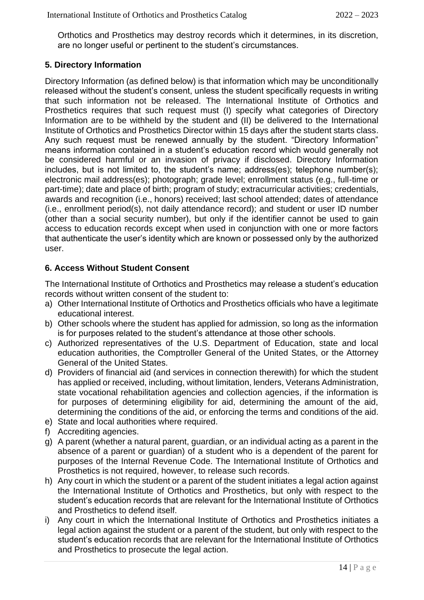Orthotics and Prosthetics may destroy records which it determines, in its discretion, are no longer useful or pertinent to the student's circumstances.

# **5. Directory Information**

Directory Information (as defined below) is that information which may be unconditionally released without the student's consent, unless the student specifically requests in writing that such information not be released. The International Institute of Orthotics and Prosthetics requires that such request must (I) specify what categories of Directory Information are to be withheld by the student and (II) be delivered to the International Institute of Orthotics and Prosthetics Director within 15 days after the student starts class. Any such request must be renewed annually by the student. "Directory Information" means information contained in a student's education record which would generally not be considered harmful or an invasion of privacy if disclosed. Directory Information includes, but is not limited to, the student's name; address(es); telephone number(s); electronic mail address(es); photograph; grade level; enrollment status (e.g., full-time or part-time); date and place of birth; program of study; extracurricular activities; credentials, awards and recognition (i.e., honors) received; last school attended; dates of attendance (i.e., enrollment period(s), not daily attendance record); and student or user ID number (other than a social security number), but only if the identifier cannot be used to gain access to education records except when used in conjunction with one or more factors that authenticate the user's identity which are known or possessed only by the authorized user.

# **6. Access Without Student Consent**

The International Institute of Orthotics and Prosthetics may release a student's education records without written consent of the student to:

- a) Other International Institute of Orthotics and Prosthetics officials who have a legitimate educational interest.
- b) Other schools where the student has applied for admission, so long as the information is for purposes related to the student's attendance at those other schools.
- c) Authorized representatives of the U.S. Department of Education, state and local education authorities, the Comptroller General of the United States, or the Attorney General of the United States.
- d) Providers of financial aid (and services in connection therewith) for which the student has applied or received, including, without limitation, lenders, Veterans Administration, state vocational rehabilitation agencies and collection agencies, if the information is for purposes of determining eligibility for aid, determining the amount of the aid, determining the conditions of the aid, or enforcing the terms and conditions of the aid.
- e) State and local authorities where required.
- f) Accrediting agencies.
- g) A parent (whether a natural parent, guardian, or an individual acting as a parent in the absence of a parent or guardian) of a student who is a dependent of the parent for purposes of the Internal Revenue Code. The International Institute of Orthotics and Prosthetics is not required, however, to release such records.
- h) Any court in which the student or a parent of the student initiates a legal action against the International Institute of Orthotics and Prosthetics, but only with respect to the student's education records that are relevant for the International Institute of Orthotics and Prosthetics to defend itself.
- i) Any court in which the International Institute of Orthotics and Prosthetics initiates a legal action against the student or a parent of the student, but only with respect to the student's education records that are relevant for the International Institute of Orthotics and Prosthetics to prosecute the legal action.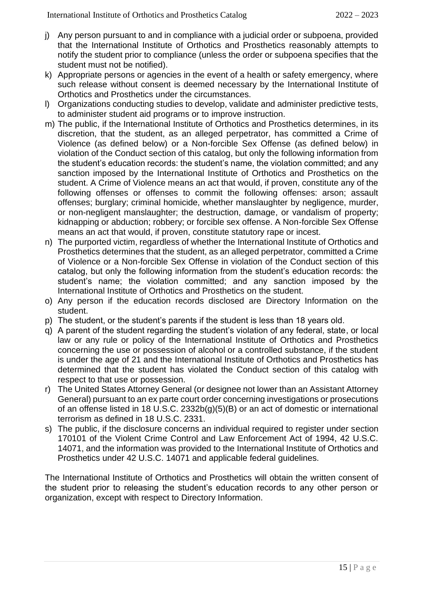- j) Any person pursuant to and in compliance with a judicial order or subpoena, provided that the International Institute of Orthotics and Prosthetics reasonably attempts to notify the student prior to compliance (unless the order or subpoena specifies that the student must not be notified).
- k) Appropriate persons or agencies in the event of a health or safety emergency, where such release without consent is deemed necessary by the International Institute of Orthotics and Prosthetics under the circumstances.
- l) Organizations conducting studies to develop, validate and administer predictive tests, to administer student aid programs or to improve instruction.
- m) The public, if the International Institute of Orthotics and Prosthetics determines, in its discretion, that the student, as an alleged perpetrator, has committed a Crime of Violence (as defined below) or a Non-forcible Sex Offense (as defined below) in violation of the Conduct section of this catalog, but only the following information from the student's education records: the student's name, the violation committed; and any sanction imposed by the International Institute of Orthotics and Prosthetics on the student. A Crime of Violence means an act that would, if proven, constitute any of the following offenses or offenses to commit the following offenses: arson; assault offenses; burglary; criminal homicide, whether manslaughter by negligence, murder, or non-negligent manslaughter; the destruction, damage, or vandalism of property; kidnapping or abduction; robbery; or forcible sex offense. A Non-forcible Sex Offense means an act that would, if proven, constitute statutory rape or incest.
- n) The purported victim, regardless of whether the International Institute of Orthotics and Prosthetics determines that the student, as an alleged perpetrator, committed a Crime of Violence or a Non-forcible Sex Offense in violation of the Conduct section of this catalog, but only the following information from the student's education records: the student's name; the violation committed; and any sanction imposed by the International Institute of Orthotics and Prosthetics on the student.
- o) Any person if the education records disclosed are Directory Information on the student.
- p) The student, or the student's parents if the student is less than 18 years old.
- q) A parent of the student regarding the student's violation of any federal, state, or local law or any rule or policy of the International Institute of Orthotics and Prosthetics concerning the use or possession of alcohol or a controlled substance, if the student is under the age of 21 and the International Institute of Orthotics and Prosthetics has determined that the student has violated the Conduct section of this catalog with respect to that use or possession.
- r) The United States Attorney General (or designee not lower than an Assistant Attorney General) pursuant to an ex parte court order concerning investigations or prosecutions of an offense listed in 18 U.S.C. 2332b(g)(5)(B) or an act of domestic or international terrorism as defined in 18 U.S.C. 2331.
- s) The public, if the disclosure concerns an individual required to register under section 170101 of the Violent Crime Control and Law Enforcement Act of 1994, 42 U.S.C. 14071, and the information was provided to the International Institute of Orthotics and Prosthetics under 42 U.S.C. 14071 and applicable federal guidelines.

The International Institute of Orthotics and Prosthetics will obtain the written consent of the student prior to releasing the student's education records to any other person or organization, except with respect to Directory Information.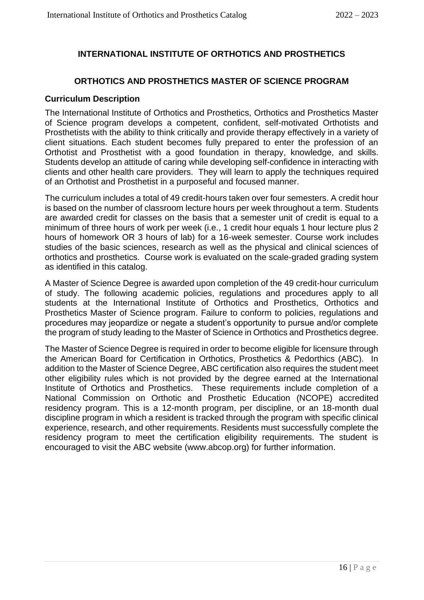# **INTERNATIONAL INSTITUTE OF ORTHOTICS AND PROSTHETICS**

### **ORTHOTICS AND PROSTHETICS MASTER OF SCIENCE PROGRAM**

#### **Curriculum Description**

The International Institute of Orthotics and Prosthetics, Orthotics and Prosthetics Master of Science program develops a competent, confident, self-motivated Orthotists and Prosthetists with the ability to think critically and provide therapy effectively in a variety of client situations. Each student becomes fully prepared to enter the profession of an Orthotist and Prosthetist with a good foundation in therapy, knowledge, and skills. Students develop an attitude of caring while developing self-confidence in interacting with clients and other health care providers. They will learn to apply the techniques required of an Orthotist and Prosthetist in a purposeful and focused manner.

The curriculum includes a total of 49 credit-hours taken over four semesters. A credit hour is based on the number of classroom lecture hours per week throughout a term. Students are awarded credit for classes on the basis that a semester unit of credit is equal to a minimum of three hours of work per week (i.e., 1 credit hour equals 1 hour lecture plus 2 hours of homework OR 3 hours of lab) for a 16-week semester. Course work includes studies of the basic sciences, research as well as the physical and clinical sciences of orthotics and prosthetics. Course work is evaluated on the scale-graded grading system as identified in this catalog.

A Master of Science Degree is awarded upon completion of the 49 credit-hour curriculum of study. The following academic policies, regulations and procedures apply to all students at the International Institute of Orthotics and Prosthetics, Orthotics and Prosthetics Master of Science program. Failure to conform to policies, regulations and procedures may jeopardize or negate a student's opportunity to pursue and/or complete the program of study leading to the Master of Science in Orthotics and Prosthetics degree.

The Master of Science Degree is required in order to become eligible for licensure through the American Board for Certification in Orthotics, Prosthetics & Pedorthics (ABC). In addition to the Master of Science Degree, ABC certification also requires the student meet other eligibility rules which is not provided by the degree earned at the International Institute of Orthotics and Prosthetics. These requirements include completion of a National Commission on Orthotic and Prosthetic Education (NCOPE) accredited residency program. This is a 12-month program, per discipline, or an 18-month dual discipline program in which a resident is tracked through the program with specific clinical experience, research, and other requirements. Residents must successfully complete the residency program to meet the certification eligibility requirements. The student is encouraged to visit the ABC website (www.abcop.org) for further information.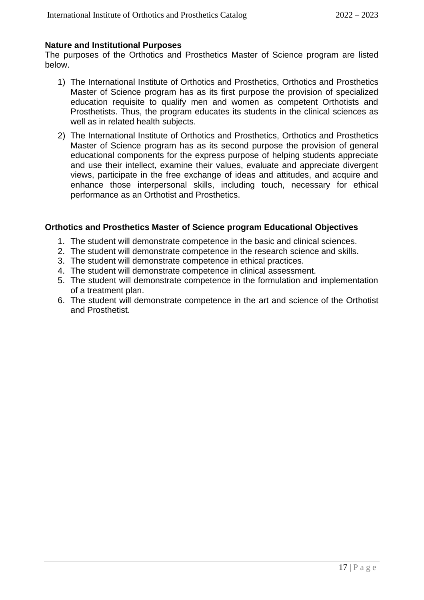### **Nature and Institutional Purposes**

The purposes of the Orthotics and Prosthetics Master of Science program are listed below.

- 1) The International Institute of Orthotics and Prosthetics, Orthotics and Prosthetics Master of Science program has as its first purpose the provision of specialized education requisite to qualify men and women as competent Orthotists and Prosthetists. Thus, the program educates its students in the clinical sciences as well as in related health subjects.
- 2) The International Institute of Orthotics and Prosthetics, Orthotics and Prosthetics Master of Science program has as its second purpose the provision of general educational components for the express purpose of helping students appreciate and use their intellect, examine their values, evaluate and appreciate divergent views, participate in the free exchange of ideas and attitudes, and acquire and enhance those interpersonal skills, including touch, necessary for ethical performance as an Orthotist and Prosthetics.

# **Orthotics and Prosthetics Master of Science program Educational Objectives**

- 1. The student will demonstrate competence in the basic and clinical sciences.
- 2. The student will demonstrate competence in the research science and skills.
- 3. The student will demonstrate competence in ethical practices.
- 4. The student will demonstrate competence in clinical assessment.
- 5. The student will demonstrate competence in the formulation and implementation of a treatment plan.
- 6. The student will demonstrate competence in the art and science of the Orthotist and Prosthetist.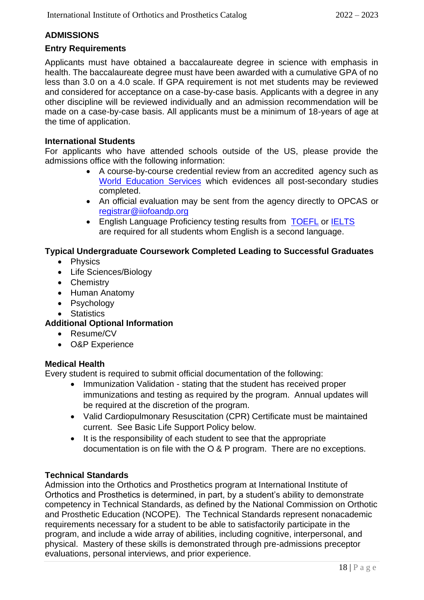# **ADMISSIONS**

### **Entry Requirements**

Applicants must have obtained a baccalaureate degree in science with emphasis in health. The baccalaureate degree must have been awarded with a cumulative GPA of no less than 3.0 on a 4.0 scale. If GPA requirement is not met students may be reviewed and considered for acceptance on a case-by-case basis. Applicants with a degree in any other discipline will be reviewed individually and an admission recommendation will be made on a case-by-case basis. All applicants must be a minimum of 18-years of age at the time of application.

### **International Students**

For applicants who have attended schools outside of the US, please provide the admissions office with the following information:

- A course-by-course credential review from an accredited agency such as [World Education Services](https://www.wes.org/) which evidences all post-secondary studies completed.
- An official evaluation may be sent from the agency directly to OPCAS or [registrar@iiofoandp.org](mailto:registrar@iiofoandp.org)
- English Language Proficiency testing results from [TOEFL](https://www.ets.org/toefl/test-takers/) or [IELTS](https://www.ielts.org/en-us/for-test-takers/book-a-test) are required for all students whom English is a second language.

# **Typical Undergraduate Coursework Completed Leading to Successful Graduates**

- Physics
- Life Sciences/Biology
- Chemistry
- Human Anatomy
- Psychology
- Statistics

# **Additional Optional Information**

- Resume/CV
- O&P Experience

# **Medical Health**

Every student is required to submit official documentation of the following:

- Immunization Validation stating that the student has received proper immunizations and testing as required by the program. Annual updates will be required at the discretion of the program.
- Valid Cardiopulmonary Resuscitation (CPR) Certificate must be maintained current. See Basic Life Support Policy below.
- It is the responsibility of each student to see that the appropriate documentation is on file with the O & P program. There are no exceptions.

# **Technical Standards**

Admission into the Orthotics and Prosthetics program at International Institute of Orthotics and Prosthetics is determined, in part, by a student's ability to demonstrate competency in Technical Standards, as defined by the National Commission on Orthotic and Prosthetic Education (NCOPE). The Technical Standards represent nonacademic requirements necessary for a student to be able to satisfactorily participate in the program, and include a wide array of abilities, including cognitive, interpersonal, and physical. Mastery of these skills is demonstrated through pre-admissions preceptor evaluations, personal interviews, and prior experience.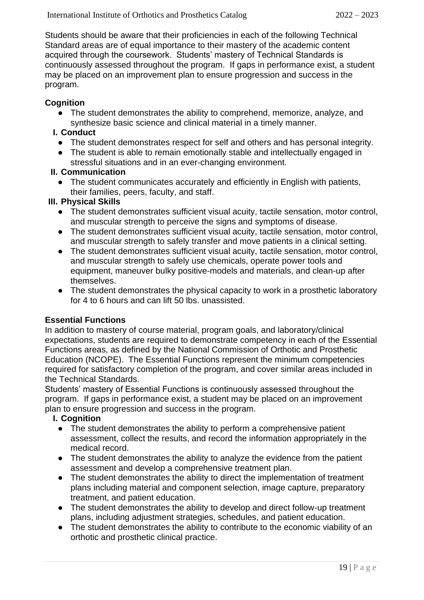Students should be aware that their proficiencies in each of the following Technical Standard areas are of equal importance to their mastery of the academic content acquired through the coursework. Students' mastery of Technical Standards is continuously assessed throughout the program. If gaps in performance exist, a student may be placed on an improvement plan to ensure progression and success in the program.

# **Cognition**

• The student demonstrates the ability to comprehend, memorize, analyze, and synthesize basic science and clinical material in a timely manner.

# **I. Conduct**

- The student demonstrates respect for self and others and has personal integrity.
- The student is able to remain emotionally stable and intellectually engaged in stressful situations and in an ever-changing environment.

# **II. Communication**

● The student communicates accurately and efficiently in English with patients, their families, peers, faculty, and staff.

# **III. Physical Skills**

- The student demonstrates sufficient visual acuity, tactile sensation, motor control, and muscular strength to perceive the signs and symptoms of disease.
- The student demonstrates sufficient visual acuity, tactile sensation, motor control, and muscular strength to safely transfer and move patients in a clinical setting.
- The student demonstrates sufficient visual acuity, tactile sensation, motor control, and muscular strength to safely use chemicals, operate power tools and equipment, maneuver bulky positive-models and materials, and clean-up after themselves.
- The student demonstrates the physical capacity to work in a prosthetic laboratory for 4 to 6 hours and can lift 50 lbs. unassisted.

# **Essential Functions**

In addition to mastery of course material, program goals, and laboratory/clinical expectations, students are required to demonstrate competency in each of the Essential Functions areas, as defined by the National Commission of Orthotic and Prosthetic Education (NCOPE). The Essential Functions represent the minimum competencies required for satisfactory completion of the program, and cover similar areas included in the Technical Standards.

Students' mastery of Essential Functions is continuously assessed throughout the program. If gaps in performance exist, a student may be placed on an improvement plan to ensure progression and success in the program.

# **I. Cognition**

- The student demonstrates the ability to perform a comprehensive patient assessment, collect the results, and record the information appropriately in the medical record.
- The student demonstrates the ability to analyze the evidence from the patient assessment and develop a comprehensive treatment plan.
- The student demonstrates the ability to direct the implementation of treatment plans including material and component selection, image capture, preparatory treatment, and patient education.
- The student demonstrates the ability to develop and direct follow-up treatment plans, including adjustment strategies, schedules, and patient education.
- The student demonstrates the ability to contribute to the economic viability of an orthotic and prosthetic clinical practice.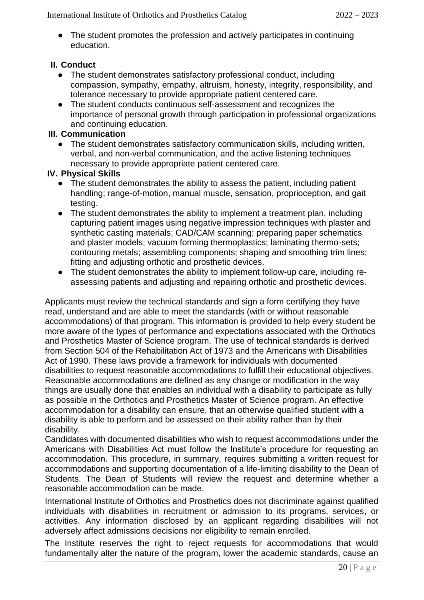• The student promotes the profession and actively participates in continuing education.

# **II. Conduct**

- The student demonstrates satisfactory professional conduct, including compassion, sympathy, empathy, altruism, honesty, integrity, responsibility, and tolerance necessary to provide appropriate patient centered care.
- The student conducts continuous self-assessment and recognizes the importance of personal growth through participation in professional organizations and continuing education.

# **III. Communication**

● The student demonstrates satisfactory communication skills, including written, verbal, and non-verbal communication, and the active listening techniques necessary to provide appropriate patient centered care.

# **IV. Physical Skills**

- The student demonstrates the ability to assess the patient, including patient handling; range-of-motion, manual muscle, sensation, proprioception, and gait testing.
- The student demonstrates the ability to implement a treatment plan, including capturing patient images using negative impression techniques with plaster and synthetic casting materials; CAD/CAM scanning; preparing paper schematics and plaster models; vacuum forming thermoplastics; laminating thermo-sets; contouring metals; assembling components; shaping and smoothing trim lines; fitting and adjusting orthotic and prosthetic devices.
- The student demonstrates the ability to implement follow-up care, including reassessing patients and adjusting and repairing orthotic and prosthetic devices.

Applicants must review the technical standards and sign a form certifying they have read, understand and are able to meet the standards (with or without reasonable accommodations) of that program. This information is provided to help every student be more aware of the types of performance and expectations associated with the Orthotics and Prosthetics Master of Science program. The use of technical standards is derived from Section 504 of the Rehabilitation Act of 1973 and the Americans with Disabilities Act of 1990. These laws provide a framework for individuals with documented disabilities to request reasonable accommodations to fulfill their educational objectives. Reasonable accommodations are defined as any change or modification in the way things are usually done that enables an individual with a disability to participate as fully as possible in the Orthotics and Prosthetics Master of Science program. An effective accommodation for a disability can ensure, that an otherwise qualified student with a disability is able to perform and be assessed on their ability rather than by their disability.

Candidates with documented disabilities who wish to request accommodations under the Americans with Disabilities Act must follow the Institute's procedure for requesting an accommodation. This procedure, in summary, requires submitting a written request for accommodations and supporting documentation of a life-limiting disability to the Dean of Students. The Dean of Students will review the request and determine whether a reasonable accommodation can be made.

International Institute of Orthotics and Prosthetics does not discriminate against qualified individuals with disabilities in recruitment or admission to its programs, services, or activities. Any information disclosed by an applicant regarding disabilities will not adversely affect admissions decisions nor eligibility to remain enrolled.

The Institute reserves the right to reject requests for accommodations that would fundamentally alter the nature of the program, lower the academic standards, cause an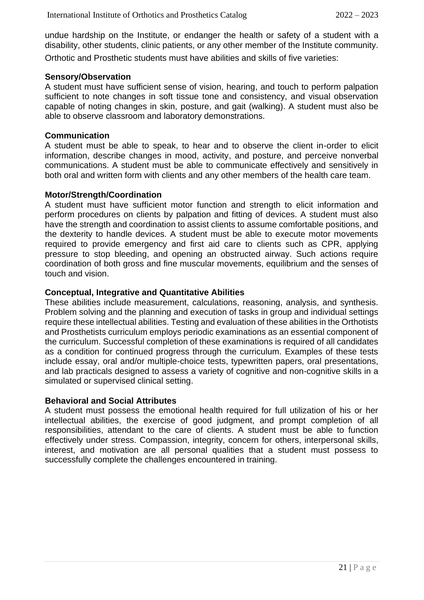undue hardship on the Institute, or endanger the health or safety of a student with a disability, other students, clinic patients, or any other member of the Institute community. Orthotic and Prosthetic students must have abilities and skills of five varieties:

#### **Sensory/Observation**

A student must have sufficient sense of vision, hearing, and touch to perform palpation sufficient to note changes in soft tissue tone and consistency, and visual observation capable of noting changes in skin, posture, and gait (walking). A student must also be able to observe classroom and laboratory demonstrations.

#### **Communication**

A student must be able to speak, to hear and to observe the client in-order to elicit information, describe changes in mood, activity, and posture, and perceive nonverbal communications. A student must be able to communicate effectively and sensitively in both oral and written form with clients and any other members of the health care team.

#### **Motor/Strength/Coordination**

A student must have sufficient motor function and strength to elicit information and perform procedures on clients by palpation and fitting of devices. A student must also have the strength and coordination to assist clients to assume comfortable positions, and the dexterity to handle devices. A student must be able to execute motor movements required to provide emergency and first aid care to clients such as CPR, applying pressure to stop bleeding, and opening an obstructed airway. Such actions require coordination of both gross and fine muscular movements, equilibrium and the senses of touch and vision.

#### **Conceptual, Integrative and Quantitative Abilities**

These abilities include measurement, calculations, reasoning, analysis, and synthesis. Problem solving and the planning and execution of tasks in group and individual settings require these intellectual abilities. Testing and evaluation of these abilities in the Orthotists and Prosthetists curriculum employs periodic examinations as an essential component of the curriculum. Successful completion of these examinations is required of all candidates as a condition for continued progress through the curriculum. Examples of these tests include essay, oral and/or multiple-choice tests, typewritten papers, oral presentations, and lab practicals designed to assess a variety of cognitive and non-cognitive skills in a simulated or supervised clinical setting.

#### **Behavioral and Social Attributes**

A student must possess the emotional health required for full utilization of his or her intellectual abilities, the exercise of good judgment, and prompt completion of all responsibilities, attendant to the care of clients. A student must be able to function effectively under stress. Compassion, integrity, concern for others, interpersonal skills, interest, and motivation are all personal qualities that a student must possess to successfully complete the challenges encountered in training.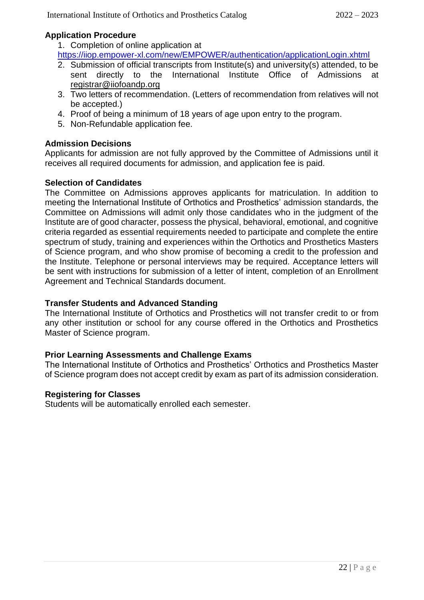# **Application Procedure**

1. Completion of online application at

<https://iiop.empower-xl.com/new/EMPOWER/authentication/applicationLogin.xhtml>

- 2. Submission of official transcripts from Institute(s) and university(s) attended, to be sent directly to the International Institute Office of Admissions at [registrar@iiofoandp.org](mailto:registrar@iiofoandp.org)
- 3. Two letters of recommendation. (Letters of recommendation from relatives will not be accepted.)
- 4. Proof of being a minimum of 18 years of age upon entry to the program.
- 5. Non-Refundable application fee.

# **Admission Decisions**

Applicants for admission are not fully approved by the Committee of Admissions until it receives all required documents for admission, and application fee is paid.

# **Selection of Candidates**

The Committee on Admissions approves applicants for matriculation. In addition to meeting the International Institute of Orthotics and Prosthetics' admission standards, the Committee on Admissions will admit only those candidates who in the judgment of the Institute are of good character, possess the physical, behavioral, emotional, and cognitive criteria regarded as essential requirements needed to participate and complete the entire spectrum of study, training and experiences within the Orthotics and Prosthetics Masters of Science program, and who show promise of becoming a credit to the profession and the Institute. Telephone or personal interviews may be required. Acceptance letters will be sent with instructions for submission of a letter of intent, completion of an Enrollment Agreement and Technical Standards document.

# **Transfer Students and Advanced Standing**

The International Institute of Orthotics and Prosthetics will not transfer credit to or from any other institution or school for any course offered in the Orthotics and Prosthetics Master of Science program.

# **Prior Learning Assessments and Challenge Exams**

The International Institute of Orthotics and Prosthetics' Orthotics and Prosthetics Master of Science program does not accept credit by exam as part of its admission consideration.

# **Registering for Classes**

Students will be automatically enrolled each semester.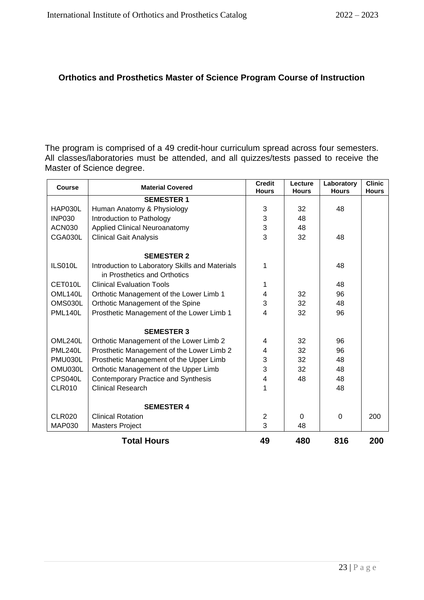# **Orthotics and Prosthetics Master of Science Program Course of Instruction**

The program is comprised of a 49 credit-hour curriculum spread across four semesters. All classes/laboratories must be attended, and all quizzes/tests passed to receive the Master of Science degree.

| <b>Course</b>  | <b>Material Covered</b>                         | <b>Credit</b><br><b>Hours</b> | Lecture<br><b>Hours</b> | Laboratory<br><b>Hours</b> | <b>Clinic</b><br><b>Hours</b> |
|----------------|-------------------------------------------------|-------------------------------|-------------------------|----------------------------|-------------------------------|
|                | <b>SEMESTER 1</b>                               |                               |                         |                            |                               |
| HAP030L        | Human Anatomy & Physiology                      | 3                             | 32                      | 48                         |                               |
| <b>INP030</b>  | Introduction to Pathology                       | 3                             | 48                      |                            |                               |
| <b>ACN030</b>  | <b>Applied Clinical Neuroanatomy</b>            | $\ensuremath{\mathsf{3}}$     | 48                      |                            |                               |
| CGA030L        | <b>Clinical Gait Analysis</b>                   | 3                             | 32                      | 48                         |                               |
|                | <b>SEMESTER 2</b>                               |                               |                         |                            |                               |
| ILS010L        | Introduction to Laboratory Skills and Materials | 1                             |                         | 48                         |                               |
|                | in Prosthetics and Orthotics                    |                               |                         |                            |                               |
| CET010L        | <b>Clinical Evaluation Tools</b>                | 1                             |                         | 48                         |                               |
| OML140L        | Orthotic Management of the Lower Limb 1         | 4                             | 32                      | 96                         |                               |
| OMS030L        | Orthotic Management of the Spine                | 3                             | 32                      | 48                         |                               |
| <b>PML140L</b> | Prosthetic Management of the Lower Limb 1       | 4                             | 32                      | 96                         |                               |
|                | <b>SEMESTER 3</b>                               |                               |                         |                            |                               |
| OML240L        | Orthotic Management of the Lower Limb 2         | 4                             | 32                      | 96                         |                               |
| <b>PML240L</b> | Prosthetic Management of the Lower Limb 2       | 4                             | 32                      | 96                         |                               |
| PMU030L        | Prosthetic Management of the Upper Limb         |                               | 32                      | 48                         |                               |
| OMU030L        | Orthotic Management of the Upper Limb           |                               | 32                      | 48                         |                               |
| CPS040L        | <b>Contemporary Practice and Synthesis</b>      | $\overline{4}$                | 48                      | 48                         |                               |
| <b>CLR010</b>  | <b>Clinical Research</b>                        | 1                             |                         | 48                         |                               |
|                | <b>SEMESTER 4</b>                               |                               |                         |                            |                               |
| CLR020         | <b>Clinical Rotation</b>                        | $\overline{2}$                | $\Omega$                | $\Omega$                   | 200                           |
| <b>MAP030</b>  | <b>Masters Project</b>                          | 3                             | 48                      |                            |                               |
|                | <b>Total Hours</b>                              | 49                            | 480                     | 816                        | 200                           |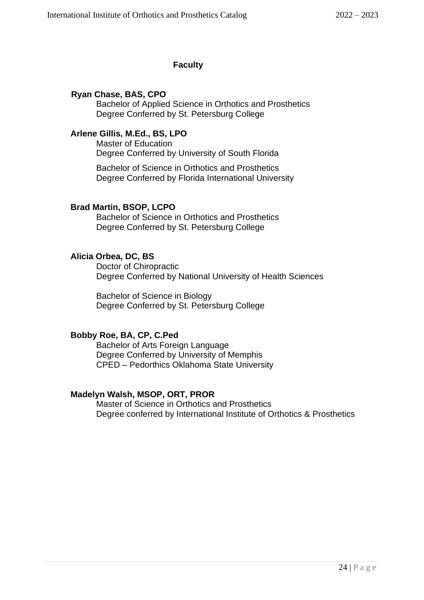# **Faculty**

# **Ryan Chase, BAS, CPO**

Bachelor of Applied Science in Orthotics and Prosthetics Degree Conferred by St. Petersburg College

# **Arlene Gillis, M.Ed., BS, LPO**

Master of Education Degree Conferred by University of South Florida

Bachelor of Science in Orthotics and Prosthetics Degree Conferred by Florida International University

### **Brad Martin, BSOP, LCPO**

Bachelor of Science in Orthotics and Prosthetics Degree Conferred by St. Petersburg College

# **Alicia Orbea, DC, BS**

Doctor of Chiropractic Degree Conferred by National University of Health Sciences

Bachelor of Science in Biology Degree Conferred by St. Petersburg College

### **Bobby Roe, BA, CP, C.Ped**

Bachelor of Arts Foreign Language Degree Conferred by University of Memphis CPED – Pedorthics Oklahoma State University

### **Madelyn Walsh, MSOP, ORT, PROR**

Master of Science in Orthotics and Prosthetics Degree conferred by International Institute of Orthotics & Prosthetics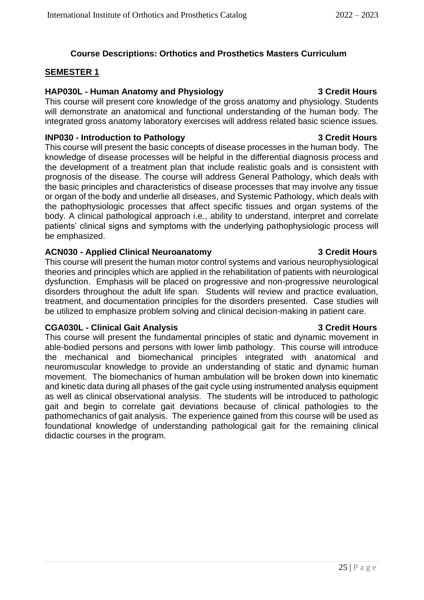# **Course Descriptions: Orthotics and Prosthetics Masters Curriculum**

#### **SEMESTER 1**

### **HAP030L - Human Anatomy and Physiology 3 Credit Hours**

This course will present core knowledge of the gross anatomy and physiology. Students will demonstrate an anatomical and functional understanding of the human body. The integrated gross anatomy laboratory exercises will address related basic science issues.

#### **INP030 - Introduction to Pathology 3 Credit Hours**

This course will present the basic concepts of disease processes in the human body. The knowledge of disease processes will be helpful in the differential diagnosis process and the development of a treatment plan that include realistic goals and is consistent with prognosis of the disease. The course will address General Pathology, which deals with the basic principles and characteristics of disease processes that may involve any tissue or organ of the body and underlie all diseases, and Systemic Pathology, which deals with the pathophysiologic processes that affect specific tissues and organ systems of the body. A clinical pathological approach i.e., ability to understand, interpret and correlate patients' clinical signs and symptoms with the underlying pathophysiologic process will be emphasized.

#### **ACN030 - Applied Clinical Neuroanatomy 3 Credit Hours**

This course will present the human motor control systems and various neurophysiological theories and principles which are applied in the rehabilitation of patients with neurological dysfunction. Emphasis will be placed on progressive and non-progressive neurological disorders throughout the adult life span. Students will review and practice evaluation, treatment, and documentation principles for the disorders presented. Case studies will be utilized to emphasize problem solving and clinical decision-making in patient care.

### **CGA030L - Clinical Gait Analysis 3 Credit Hours**

This course will present the fundamental principles of static and dynamic movement in able-bodied persons and persons with lower limb pathology. This course will introduce the mechanical and biomechanical principles integrated with anatomical and neuromuscular knowledge to provide an understanding of static and dynamic human movement. The biomechanics of human ambulation will be broken down into kinematic and kinetic data during all phases of the gait cycle using instrumented analysis equipment as well as clinical observational analysis. The students will be introduced to pathologic gait and begin to correlate gait deviations because of clinical pathologies to the pathomechanics of gait analysis. The experience gained from this course will be used as foundational knowledge of understanding pathological gait for the remaining clinical didactic courses in the program.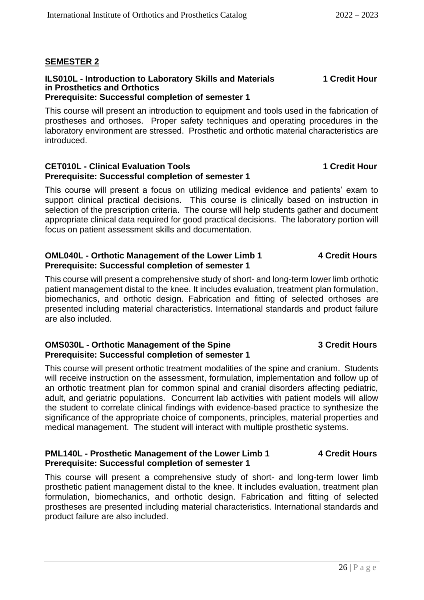# **SEMESTER 2**

#### **ILS010L - Introduction to Laboratory Skills and Materials 1 Credit Hour in Prosthetics and Orthotics Prerequisite: Successful completion of semester 1**

### This course will present an introduction to equipment and tools used in the fabrication of prostheses and orthoses. Proper safety techniques and operating procedures in the laboratory environment are stressed. Prosthetic and orthotic material characteristics are introduced.

### **CET010L - Clinical Evaluation Tools 1 Credit Hour Prerequisite: Successful completion of semester 1**

This course will present a focus on utilizing medical evidence and patients' exam to support clinical practical decisions. This course is clinically based on instruction in selection of the prescription criteria. The course will help students gather and document appropriate clinical data required for good practical decisions. The laboratory portion will focus on patient assessment skills and documentation.

### **OML040L - Orthotic Management of the Lower Limb 1 4 Credit Hours Prerequisite: Successful completion of semester 1**

This course will present a comprehensive study of short- and long-term lower limb orthotic patient management distal to the knee. It includes evaluation, treatment plan formulation, biomechanics, and orthotic design. Fabrication and fitting of selected orthoses are presented including material characteristics. International standards and product failure are also included.

# **OMS030L - Orthotic Management of the Spine 3 Credit Hours Prerequisite: Successful completion of semester 1**

This course will present orthotic treatment modalities of the spine and cranium. Students will receive instruction on the assessment, formulation, implementation and follow up of an orthotic treatment plan for common spinal and cranial disorders affecting pediatric, adult, and geriatric populations. Concurrent lab activities with patient models will allow the student to correlate clinical findings with evidence-based practice to synthesize the significance of the appropriate choice of components, principles, material properties and medical management. The student will interact with multiple prosthetic systems.

# **PML140L - Prosthetic Management of the Lower Limb 1 4 Credit Hours Prerequisite: Successful completion of semester 1**

This course will present a comprehensive study of short- and long-term lower limb prosthetic patient management distal to the knee. It includes evaluation, treatment plan formulation, biomechanics, and orthotic design. Fabrication and fitting of selected prostheses are presented including material characteristics. International standards and product failure are also included.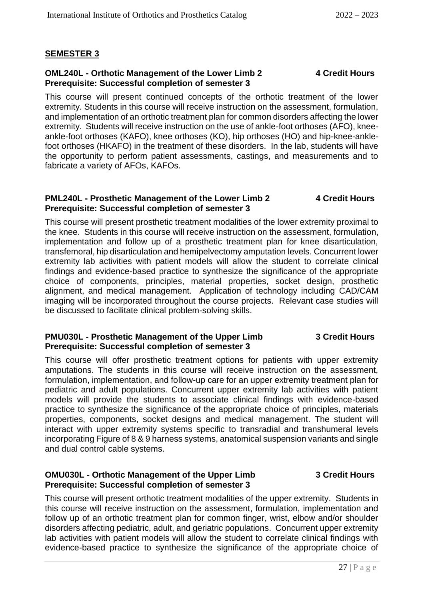# **SEMESTER 3**

#### **OML240L - Orthotic Management of the Lower Limb 2 4 Credit Hours Prerequisite: Successful completion of semester 3**

This course will present continued concepts of the orthotic treatment of the lower extremity. Students in this course will receive instruction on the assessment, formulation, and implementation of an orthotic treatment plan for common disorders affecting the lower extremity. Students will receive instruction on the use of ankle-foot orthoses (AFO), kneeankle-foot orthoses (KAFO), knee orthoses (KO), hip orthoses (HO) and hip-knee-anklefoot orthoses (HKAFO) in the treatment of these disorders. In the lab, students will have the opportunity to perform patient assessments, castings, and measurements and to fabricate a variety of AFOs, KAFOs.

#### **PML240L - Prosthetic Management of the Lower Limb 2 4 Credit Hours Prerequisite: Successful completion of semester 3**

This course will present prosthetic treatment modalities of the lower extremity proximal to the knee. Students in this course will receive instruction on the assessment, formulation, implementation and follow up of a prosthetic treatment plan for knee disarticulation, transfemoral, hip disarticulation and hemipelvectomy amputation levels. Concurrent lower extremity lab activities with patient models will allow the student to correlate clinical findings and evidence-based practice to synthesize the significance of the appropriate choice of components, principles, material properties, socket design, prosthetic alignment, and medical management. Application of technology including CAD/CAM imaging will be incorporated throughout the course projects. Relevant case studies will be discussed to facilitate clinical problem-solving skills.

#### **PMU030L - Prosthetic Management of the Upper Limb 3 Credit Hours Prerequisite: Successful completion of semester 3**

This course will offer prosthetic treatment options for patients with upper extremity amputations. The students in this course will receive instruction on the assessment, formulation, implementation, and follow-up care for an upper extremity treatment plan for pediatric and adult populations. Concurrent upper extremity lab activities with patient models will provide the students to associate clinical findings with evidence-based practice to synthesize the significance of the appropriate choice of principles, materials properties, components, socket designs and medical management. The student will interact with upper extremity systems specific to transradial and transhumeral levels incorporating Figure of 8 & 9 harness systems, anatomical suspension variants and single and dual control cable systems.

### **OMU030L - Orthotic Management of the Upper Limb 3 Credit Hours Prerequisite: Successful completion of semester 3**

This course will present orthotic treatment modalities of the upper extremity. Students in this course will receive instruction on the assessment, formulation, implementation and follow up of an orthotic treatment plan for common finger, wrist, elbow and/or shoulder disorders affecting pediatric, adult, and geriatric populations. Concurrent upper extremity lab activities with patient models will allow the student to correlate clinical findings with evidence-based practice to synthesize the significance of the appropriate choice of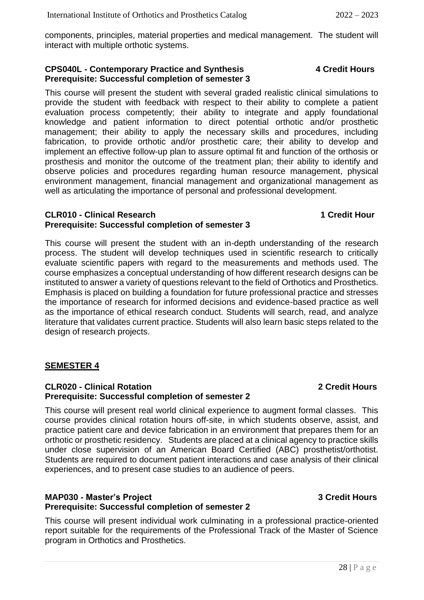components, principles, material properties and medical management. The student will interact with multiple orthotic systems.

### **CPS040L - Contemporary Practice and Synthesis 4 Credit Hours Prerequisite: Successful completion of semester 3**

This course will present the student with several graded realistic clinical simulations to provide the student with feedback with respect to their ability to complete a patient evaluation process competently; their ability to integrate and apply foundational knowledge and patient information to direct potential orthotic and/or prosthetic management; their ability to apply the necessary skills and procedures, including fabrication, to provide orthotic and/or prosthetic care; their ability to develop and implement an effective follow-up plan to assure optimal fit and function of the orthosis or prosthesis and monitor the outcome of the treatment plan; their ability to identify and observe policies and procedures regarding human resource management, physical environment management, financial management and organizational management as well as articulating the importance of personal and professional development.

### **CLR010 - Clinical Research 1 Credit Hour Prerequisite: Successful completion of semester 3**

This course will present the student with an in-depth understanding of the research process. The student will develop techniques used in scientific research to critically evaluate scientific papers with regard to the measurements and methods used. The course emphasizes a conceptual understanding of how different research designs can be instituted to answer a variety of questions relevant to the field of Orthotics and Prosthetics. Emphasis is placed on building a foundation for future professional practice and stresses the importance of research for informed decisions and evidence-based practice as well as the importance of ethical research conduct. Students will search, read, and analyze literature that validates current practice. Students will also learn basic steps related to the design of research projects.

# **SEMESTER 4**

### **CLR020 - Clinical Rotation 2 Credit Hours Prerequisite: Successful completion of semester 2**

This course will present real world clinical experience to augment formal classes. This course provides clinical rotation hours off-site, in which students observe, assist, and practice patient care and device fabrication in an environment that prepares them for an orthotic or prosthetic residency. Students are placed at a clinical agency to practice skills under close supervision of an American Board Certified (ABC) prosthetist/orthotist. Students are required to document patient interactions and case analysis of their clinical experiences, and to present case studies to an audience of peers.

#### **MAP030 - Master's Project 3 Credit Hours Prerequisite: Successful completion of semester 2**

This course will present individual work culminating in a professional practice-oriented report suitable for the requirements of the Professional Track of the Master of Science program in Orthotics and Prosthetics.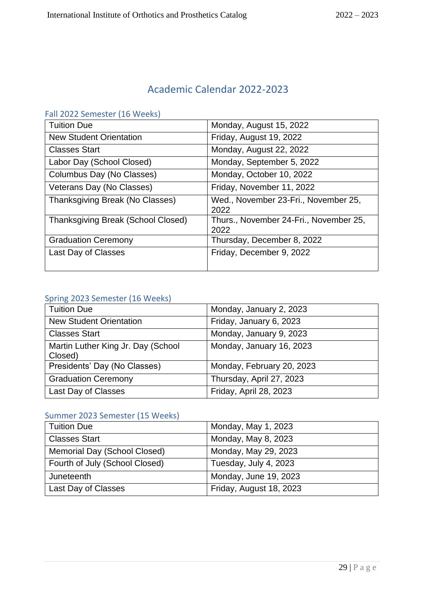# Academic Calendar 2022-2023

# Fall 2022 Semester (16 Weeks)

| <b>Tuition Due</b>                        | Monday, August 15, 2022                        |
|-------------------------------------------|------------------------------------------------|
| <b>New Student Orientation</b>            | Friday, August 19, 2022                        |
| <b>Classes Start</b>                      | Monday, August 22, 2022                        |
| Labor Day (School Closed)                 | Monday, September 5, 2022                      |
| Columbus Day (No Classes)                 | Monday, October 10, 2022                       |
| Veterans Day (No Classes)                 | Friday, November 11, 2022                      |
| Thanksgiving Break (No Classes)           | Wed., November 23-Fri., November 25,<br>2022   |
| <b>Thanksgiving Break (School Closed)</b> | Thurs., November 24-Fri., November 25,<br>2022 |
| <b>Graduation Ceremony</b>                | Thursday, December 8, 2022                     |
| Last Day of Classes                       | Friday, December 9, 2022                       |

# Spring 2023 Semester (16 Weeks)

| <b>Tuition Due</b>                            | Monday, January 2, 2023   |
|-----------------------------------------------|---------------------------|
| <b>New Student Orientation</b>                | Friday, January 6, 2023   |
| <b>Classes Start</b>                          | Monday, January 9, 2023   |
| Martin Luther King Jr. Day (School<br>Closed) | Monday, January 16, 2023  |
| Presidents' Day (No Classes)                  | Monday, February 20, 2023 |
| <b>Graduation Ceremony</b>                    | Thursday, April 27, 2023  |
| Last Day of Classes                           | Friday, April 28, 2023    |

# Summer 2023 Semester (15 Weeks)

| <b>Tuition Due</b>             | Monday, May 1, 2023     |
|--------------------------------|-------------------------|
| <b>Classes Start</b>           | Monday, May 8, 2023     |
| Memorial Day (School Closed)   | Monday, May 29, 2023    |
| Fourth of July (School Closed) | Tuesday, July 4, 2023   |
| Juneteenth                     | Monday, June 19, 2023   |
| Last Day of Classes            | Friday, August 18, 2023 |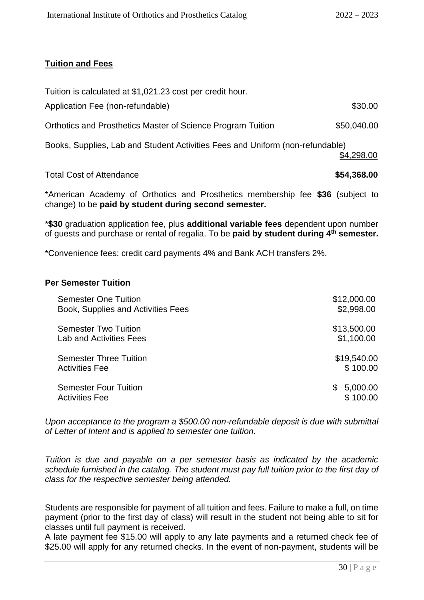# **Tuition and Fees**

| <b>Total Cost of Attendance</b>                                               | \$54,368.00 |
|-------------------------------------------------------------------------------|-------------|
| Books, Supplies, Lab and Student Activities Fees and Uniform (non-refundable) | \$4,298.00  |
| <b>Orthotics and Prosthetics Master of Science Program Tuition</b>            | \$50,040.00 |
| Application Fee (non-refundable)                                              | \$30.00     |
| Tuition is calculated at \$1,021.23 cost per credit hour.                     |             |

\*American Academy of Orthotics and Prosthetics membership fee **\$36** (subject to change) to be **paid by student during second semester.** 

\***\$30** graduation application fee, plus **additional variable fees** dependent upon number of guests and purchase or rental of regalia. To be **paid by student during 4th semester.**

\*Convenience fees: credit card payments 4% and Bank ACH transfers 2%.

#### **Per Semester Tuition**

| <b>Semester One Tuition</b>                           | \$12,000.00                |
|-------------------------------------------------------|----------------------------|
| Book, Supplies and Activities Fees                    | \$2,998.00                 |
| <b>Semester Two Tuition</b>                           | \$13,500.00                |
| <b>Lab and Activities Fees</b>                        | \$1,100.00                 |
| <b>Semester Three Tuition</b>                         | \$19,540.00                |
| <b>Activities Fee</b>                                 | \$100.00                   |
| <b>Semester Four Tuition</b><br><b>Activities Fee</b> | 5,000.00<br>\$<br>\$100.00 |

*Upon acceptance to the program a \$500.00 non-refundable deposit is due with submittal of Letter of Intent and is applied to semester one tuition.*

*Tuition is due and payable on a per semester basis as indicated by the academic schedule furnished in the catalog. The student must pay full tuition prior to the first day of class for the respective semester being attended.* 

Students are responsible for payment of all tuition and fees. Failure to make a full, on time payment (prior to the first day of class) will result in the student not being able to sit for classes until full payment is received.

A late payment fee \$15.00 will apply to any late payments and a returned check fee of \$25.00 will apply for any returned checks. In the event of non-payment, students will be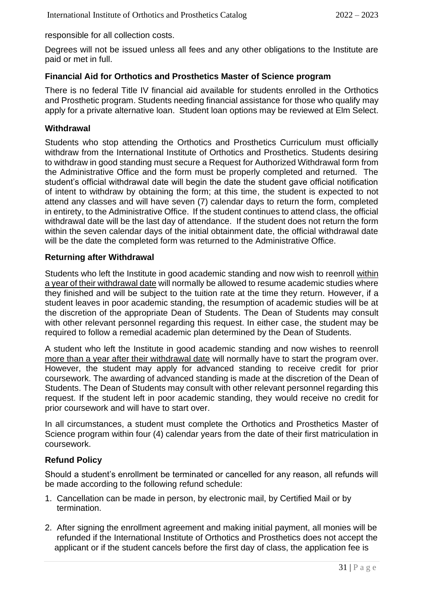responsible for all collection costs.

Degrees will not be issued unless all fees and any other obligations to the Institute are paid or met in full.

# **Financial Aid for Orthotics and Prosthetics Master of Science program**

There is no federal Title IV financial aid available for students enrolled in the Orthotics and Prosthetic program. Students needing financial assistance for those who qualify may apply for a private alternative loan. Student loan options may be reviewed at Elm Select.

### **Withdrawal**

Students who stop attending the Orthotics and Prosthetics Curriculum must officially withdraw from the International Institute of Orthotics and Prosthetics. Students desiring to withdraw in good standing must secure a Request for Authorized Withdrawal form from the Administrative Office and the form must be properly completed and returned. The student's official withdrawal date will begin the date the student gave official notification of intent to withdraw by obtaining the form; at this time, the student is expected to not attend any classes and will have seven (7) calendar days to return the form, completed in entirety, to the Administrative Office. If the student continues to attend class, the official withdrawal date will be the last day of attendance. If the student does not return the form within the seven calendar days of the initial obtainment date, the official withdrawal date will be the date the completed form was returned to the Administrative Office.

### **Returning after Withdrawal**

Students who left the Institute in good academic standing and now wish to reenroll within a year of their withdrawal date will normally be allowed to resume academic studies where they finished and will be subject to the tuition rate at the time they return. However, if a student leaves in poor academic standing, the resumption of academic studies will be at the discretion of the appropriate Dean of Students. The Dean of Students may consult with other relevant personnel regarding this request. In either case, the student may be required to follow a remedial academic plan determined by the Dean of Students.

A student who left the Institute in good academic standing and now wishes to reenroll more than a year after their withdrawal date will normally have to start the program over. However, the student may apply for advanced standing to receive credit for prior coursework. The awarding of advanced standing is made at the discretion of the Dean of Students. The Dean of Students may consult with other relevant personnel regarding this request. If the student left in poor academic standing, they would receive no credit for prior coursework and will have to start over.

In all circumstances, a student must complete the Orthotics and Prosthetics Master of Science program within four (4) calendar years from the date of their first matriculation in coursework.

# **Refund Policy**

Should a student's enrollment be terminated or cancelled for any reason, all refunds will be made according to the following refund schedule:

- 1. Cancellation can be made in person, by electronic mail, by Certified Mail or by termination.
- 2. After signing the enrollment agreement and making initial payment, all monies will be refunded if the International Institute of Orthotics and Prosthetics does not accept the applicant or if the student cancels before the first day of class, the application fee is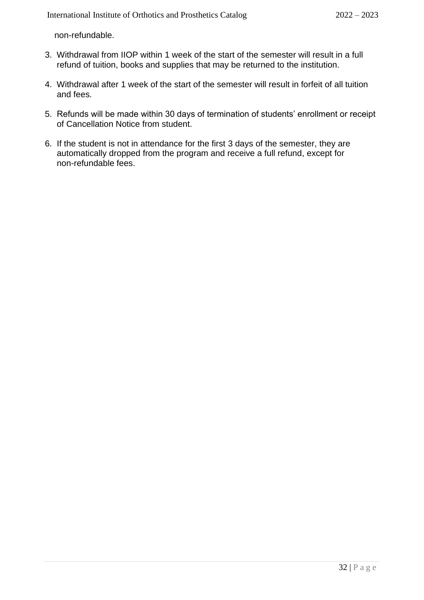non-refundable.

- 3. Withdrawal from IIOP within 1 week of the start of the semester will result in a full refund of tuition, books and supplies that may be returned to the institution.
- 4. Withdrawal after 1 week of the start of the semester will result in forfeit of all tuition and fees.
- 5. Refunds will be made within 30 days of termination of students' enrollment or receipt of Cancellation Notice from student.
- 6. If the student is not in attendance for the first 3 days of the semester, they are automatically dropped from the program and receive a full refund, except for non-refundable fees.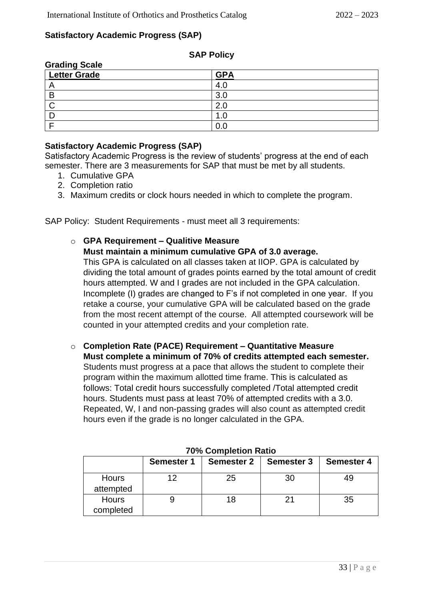# **Satisfactory Academic Progress (SAP)**

| <b>Grading Scale</b> |            |
|----------------------|------------|
| <b>Letter Grade</b>  | <b>GPA</b> |
| n                    | 4.0        |
| В                    | 3.0        |
|                      | 2.0        |
|                      | 1.0        |
|                      |            |

# **SAP Policy**

# **Satisfactory Academic Progress (SAP)**

Satisfactory Academic Progress is the review of students' progress at the end of each semester. There are 3 measurements for SAP that must be met by all students.

- 1. Cumulative GPA
- 2. Completion ratio
- 3. Maximum credits or clock hours needed in which to complete the program.

SAP Policy: Student Requirements - must meet all 3 requirements:

# o **GPA Requirement – Qualitive Measure**

**Must maintain a minimum cumulative GPA of 3.0 average.**

This GPA is calculated on all classes taken at IIOP. GPA is calculated by dividing the total amount of grades points earned by the total amount of credit hours attempted. W and I grades are not included in the GPA calculation. Incomplete (I) grades are changed to F's if not completed in one year. If you retake a course, your cumulative GPA will be calculated based on the grade from the most recent attempt of the course. All attempted coursework will be counted in your attempted credits and your completion rate.

o **Completion Rate (PACE) Requirement – Quantitative Measure Must complete a minimum of 70% of credits attempted each semester.**  Students must progress at a pace that allows the student to complete their program within the maximum allotted time frame. This is calculated as follows: Total credit hours successfully completed /Total attempted credit hours. Students must pass at least 70% of attempted credits with a 3.0. Repeated, W, I and non-passing grades will also count as attempted credit hours even if the grade is no longer calculated in the GPA.

|                           | <b>Semester 1</b> | <b>Semester 2</b> | <b>Semester 3</b> | <b>Semester 4</b> |  |
|---------------------------|-------------------|-------------------|-------------------|-------------------|--|
| <b>Hours</b><br>attempted |                   | 25                | 30                |                   |  |
| Hours<br>completed        |                   | 18                |                   | 35                |  |

#### **70% Completion Ratio**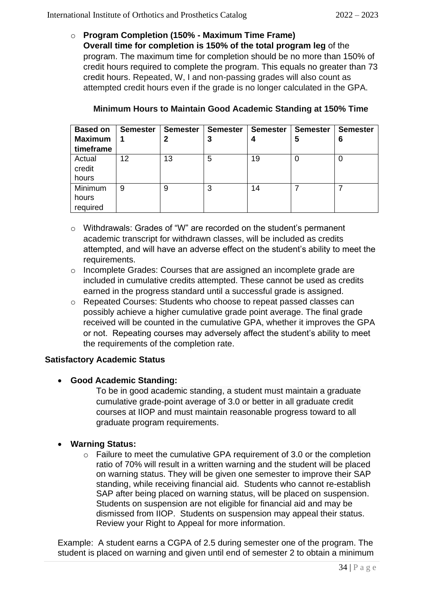o **Program Completion (150% - Maximum Time Frame) Overall time for completion is 150% of the total program leg** of the program. The maximum time for completion should be no more than 150% of credit hours required to complete the program. This equals no greater than 73 credit hours. Repeated, W, I and non-passing grades will also count as attempted credit hours even if the grade is no longer calculated in the GPA.

| <b>Based on</b><br><b>Maximum</b><br>timeframe | <b>Semester</b><br>1 | <b>Semester</b><br>2 | <b>Semester</b><br>3 | <b>Semester</b> | <b>Semester</b><br>5 | <b>Semester</b><br>6 |
|------------------------------------------------|----------------------|----------------------|----------------------|-----------------|----------------------|----------------------|
| Actual<br>credit<br>hours                      | 12                   | 13                   | 5                    | 19              |                      | 0                    |
| Minimum<br>hours<br>required                   | 9                    | 9                    | 3                    | 14              |                      |                      |

# **Minimum Hours to Maintain Good Academic Standing at 150% Time**

- o Withdrawals: Grades of "W" are recorded on the student's permanent academic transcript for withdrawn classes, will be included as credits attempted, and will have an adverse effect on the student's ability to meet the requirements.
- o Incomplete Grades: Courses that are assigned an incomplete grade are included in cumulative credits attempted. These cannot be used as credits earned in the progress standard until a successful grade is assigned.
- o Repeated Courses: Students who choose to repeat passed classes can possibly achieve a higher cumulative grade point average. The final grade received will be counted in the cumulative GPA, whether it improves the GPA or not. Repeating courses may adversely affect the student's ability to meet the requirements of the completion rate.

# **Satisfactory Academic Status**

# • **Good Academic Standing:**

To be in good academic standing, a student must maintain a graduate cumulative grade-point average of 3.0 or better in all graduate credit courses at IIOP and must maintain reasonable progress toward to all graduate program requirements.

# • **Warning Status:**

o Failure to meet the cumulative GPA requirement of 3.0 or the completion ratio of 70% will result in a written warning and the student will be placed on warning status. They will be given one semester to improve their SAP standing, while receiving financial aid. Students who cannot re-establish SAP after being placed on warning status, will be placed on suspension. Students on suspension are not eligible for financial aid and may be dismissed from IIOP. Students on suspension may appeal their status. Review your Right to Appeal for more information.

Example: A student earns a CGPA of 2.5 during semester one of the program. The student is placed on warning and given until end of semester 2 to obtain a minimum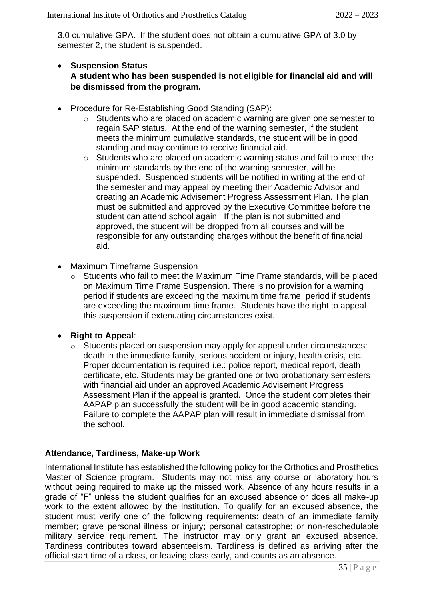3.0 cumulative GPA. If the student does not obtain a cumulative GPA of 3.0 by semester 2, the student is suspended.

### • **Suspension Status A student who has been suspended is not eligible for financial aid and will be dismissed from the program.**

- Procedure for Re-Establishing Good Standing (SAP):
	- o Students who are placed on academic warning are given one semester to regain SAP status. At the end of the warning semester, if the student meets the minimum cumulative standards, the student will be in good standing and may continue to receive financial aid.
	- o Students who are placed on academic warning status and fail to meet the minimum standards by the end of the warning semester, will be suspended. Suspended students will be notified in writing at the end of the semester and may appeal by meeting their Academic Advisor and creating an Academic Advisement Progress Assessment Plan. The plan must be submitted and approved by the Executive Committee before the student can attend school again. If the plan is not submitted and approved, the student will be dropped from all courses and will be responsible for any outstanding charges without the benefit of financial aid.
- Maximum Timeframe Suspension
	- o Students who fail to meet the Maximum Time Frame standards, will be placed on Maximum Time Frame Suspension. There is no provision for a warning period if students are exceeding the maximum time frame. period if students are exceeding the maximum time frame. Students have the right to appeal this suspension if extenuating circumstances exist.
- **Right to Appeal**:
	- o Students placed on suspension may apply for appeal under circumstances: death in the immediate family, serious accident or injury, health crisis, etc. Proper documentation is required i.e.: police report, medical report, death certificate, etc. Students may be granted one or two probationary semesters with financial aid under an approved Academic Advisement Progress Assessment Plan if the appeal is granted. Once the student completes their AAPAP plan successfully the student will be in good academic standing. Failure to complete the AAPAP plan will result in immediate dismissal from the school.

# **Attendance, Tardiness, Make-up Work**

International Institute has established the following policy for the Orthotics and Prosthetics Master of Science program. Students may not miss any course or laboratory hours without being required to make up the missed work. Absence of any hours results in a grade of "F" unless the student qualifies for an excused absence or does all make-up work to the extent allowed by the Institution. To qualify for an excused absence, the student must verify one of the following requirements: death of an immediate family member; grave personal illness or injury; personal catastrophe; or non-reschedulable military service requirement. The instructor may only grant an excused absence. Tardiness contributes toward absenteeism. Tardiness is defined as arriving after the official start time of a class, or leaving class early, and counts as an absence.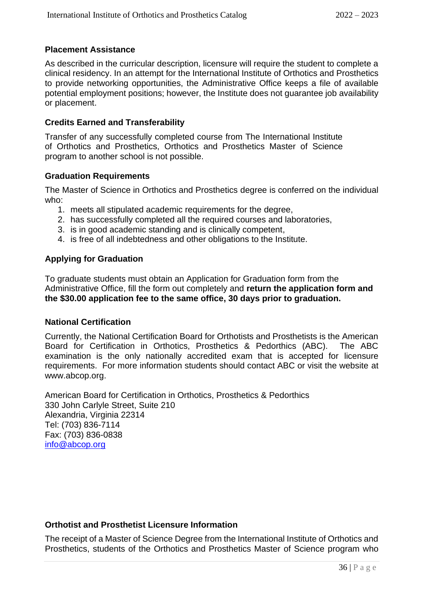# **Placement Assistance**

As described in the curricular description, licensure will require the student to complete a clinical residency. In an attempt for the International Institute of Orthotics and Prosthetics to provide networking opportunities, the Administrative Office keeps a file of available potential employment positions; however, the Institute does not guarantee job availability or placement.

#### **Credits Earned and Transferability**

Transfer of any successfully completed course from The International Institute of Orthotics and Prosthetics, Orthotics and Prosthetics Master of Science program to another school is not possible.

#### **Graduation Requirements**

The Master of Science in Orthotics and Prosthetics degree is conferred on the individual who:

- 1. meets all stipulated academic requirements for the degree,
- 2. has successfully completed all the required courses and laboratories,
- 3. is in good academic standing and is clinically competent,
- 4. is free of all indebtedness and other obligations to the Institute.

### **Applying for Graduation**

To graduate students must obtain an Application for Graduation form from the Administrative Office, fill the form out completely and **return the application form and the \$30.00 application fee to the same office, 30 days prior to graduation.**

#### **National Certification**

Currently, the National Certification Board for Orthotists and Prosthetists is the American Board for Certification in Orthotics, Prosthetics & Pedorthics (ABC). The ABC examination is the only nationally accredited exam that is accepted for licensure requirements. For more information students should contact ABC or visit the website at www.abcop.org.

American Board for Certification in Orthotics, Prosthetics & Pedorthics 330 John Carlyle Street, Suite 210 Alexandria, Virginia 22314 Tel: (703) 836-7114 Fax: (703) 836-0838 [info@abcop.org](mailto:info@abcop.org)

### **Orthotist and Prosthetist Licensure Information**

The receipt of a Master of Science Degree from the International Institute of Orthotics and Prosthetics, students of the Orthotics and Prosthetics Master of Science program who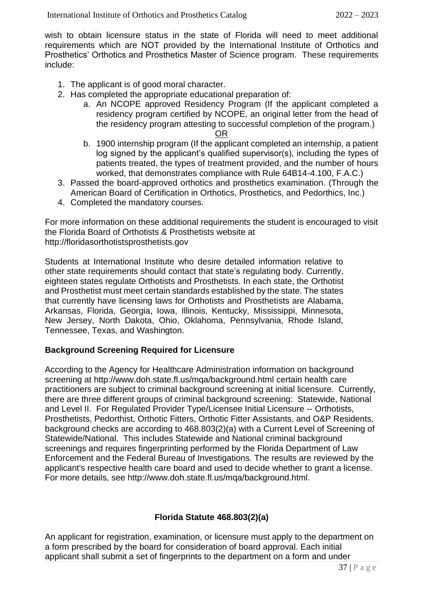wish to obtain licensure status in the state of Florida will need to meet additional requirements which are NOT provided by the International Institute of Orthotics and Prosthetics' Orthotics and Prosthetics Master of Science program. These requirements include:

- 1. The applicant is of good moral character.
- 2. Has completed the appropriate educational preparation of:
	- a. An NCOPE approved Residency Program (If the applicant completed a residency program certified by NCOPE, an original letter from the head of the residency program attesting to successful completion of the program.) <u>OR Starting and the Construction of the Construction of the Construction of the Construction of the Const</u>

- b. 1900 internship program (If the applicant completed an internship, a patient log signed by the applicant's qualified supervisor(s), including the types of patients treated, the types of treatment provided, and the number of hours worked, that demonstrates compliance with Rule 64B14-4.100, F.A.C.)
- 3. Passed the board-approved orthotics and prosthetics examination. (Through the American Board of Certification in Orthotics, Prosthetics, and Pedorthics, Inc.)
- 4. Completed the mandatory courses.

For more information on these additional requirements the student is encouraged to visit the Florida Board of Orthotists & Prosthetists website at http://floridasorthotistsprosthetists.gov

Students at International Institute who desire detailed information relative to other state requirements should contact that state's regulating body. Currently, eighteen states regulate Orthotists and Prosthetists. In each state, the Orthotist and Prosthetist must meet certain standards established by the state. The states that currently have licensing laws for Orthotists and Prosthetists are Alabama, Arkansas, Florida, Georgia, Iowa, Illinois, Kentucky, Mississippi, Minnesota, New Jersey, North Dakota, Ohio, Oklahoma, Pennsylvania, Rhode Island, Tennessee, Texas, and Washington.

# **Background Screening Required for Licensure**

According to the Agency for Healthcare Administration information on background screening at<http://www.doh.state.fl.us/mqa/background.html> certain health care practitioners are subject to criminal background screening at initial licensure. Currently, there are three different groups of criminal background screening: Statewide, National and Level II. For Regulated Provider Type/Licensee Initial Licensure -- Orthotists, Prosthetists, Pedorthist, Orthotic Fitters, Orthotic Fitter Assistants, and O&P Residents, background checks are according to 468.803(2)(a) with a Current Level of Screening of Statewide/National. This includes Statewide and National criminal background screenings and requires fingerprinting performed by the Florida Department of Law Enforcement and the Federal Bureau of Investigations. The results are reviewed by the applicant's respective health care board and used to decide whether to grant a license. For more details, see [http://www.doh.state.fl.us/mqa/background.html.](http://www.doh.state.fl.us/mqa/background.html)

# **Florida Statute 468.803(2)(a)**

An applicant for registration, examination, or licensure must apply to the department on a form prescribed by the board for consideration of board approval. Each initial applicant shall submit a set of fingerprints to the department on a form and under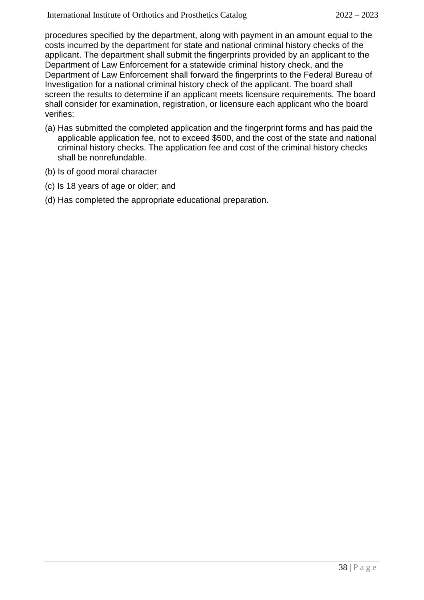procedures specified by the department, along with payment in an amount equal to the costs incurred by the department for state and national criminal history checks of the applicant. The department shall submit the fingerprints provided by an applicant to the Department of Law Enforcement for a statewide criminal history check, and the Department of Law Enforcement shall forward the fingerprints to the Federal Bureau of Investigation for a national criminal history check of the applicant. The board shall screen the results to determine if an applicant meets licensure requirements. The board shall consider for examination, registration, or licensure each applicant who the board verifies:

- (a) Has submitted the completed application and the fingerprint forms and has paid the applicable application fee, not to exceed \$500, and the cost of the state and national criminal history checks. The application fee and cost of the criminal history checks shall be nonrefundable.
- (b) Is of good moral character
- (c) Is 18 years of age or older; and
- (d) Has completed the appropriate educational preparation.